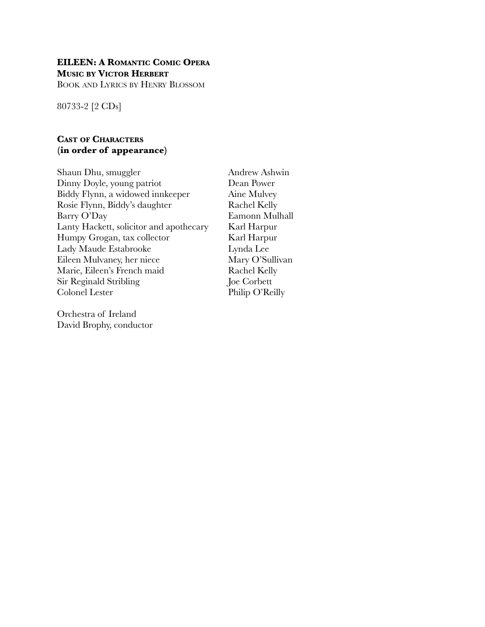### **EILEEN: A ROMANTIC COMIC OPERA MUSIC BY VICTOR HERBERT**

BOOK AND LYRICS BY HENRY BLOSSOM

80733-2 [2 CDs]

### **CAST OF CHARACTERS (in order of appearance)**

| Shaun Dhu, smuggler                     | Andrew As    |
|-----------------------------------------|--------------|
| Dinny Doyle, young patriot              | Dean Powe    |
| Biddy Flynn, a widowed innkeeper        | Aine Mulv    |
| Rosie Flynn, Biddy's daughter           | Rachel Ke    |
| Barry O'Day                             | Eamonn N     |
| Lanty Hackett, solicitor and apothecary | Karl Harp    |
| Humpy Grogan, tax collector             | Karl Harp    |
| Lady Maude Estabrooke                   | Lynda Lee    |
| Eileen Mulvaney, her niece              | Mary O'Su    |
| Marie, Eileen's French maid             | Rachel Ke    |
| Sir Reginald Stribling                  | Joe Corbet   |
| <b>Colonel Lester</b>                   | Philip $O'R$ |
|                                         |              |

Orchestra of Ireland David Brophy, conductor

ew Ashwin Power Mulvey el Kelly onn Mulhall Harpur Harpur O'Sullivan el Kelly  $\delta$ orbett  $p O'Reilly$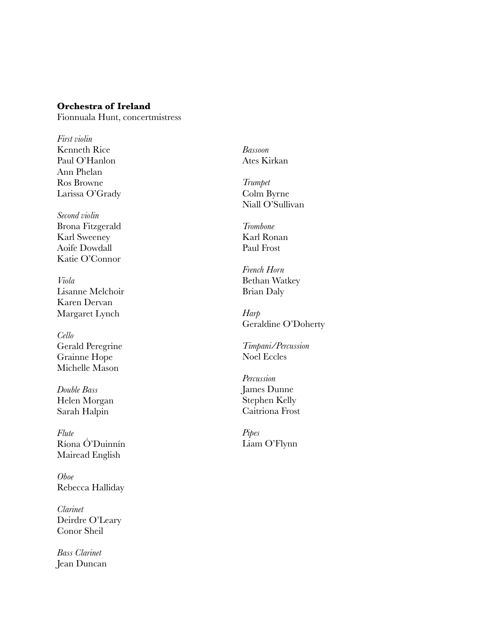### **Orchestra of Ireland**

Fionnuala Hunt, concertmistress

*First violin* Kenneth Rice Paul O'Hanlon Ann Phelan Ros Browne Larissa O'Grady

*Second violin* Brona Fitzgerald Karl Sweeney Aoife Dowdall Katie O'Connor

*Viola* Lisanne Melchoir Karen Dervan Margaret Lynch

*Cello* Gerald Peregrine Grainne Hope Michelle Mason

*Double Bass* Helen Morgan Sarah Halpin

*Flute* Ríona Ó'Duinnín Mairead English

*Oboe* Rebecca Halliday

*Clarinet* Deirdre O'Leary Conor Sheil

*Bass Clarinet* Jean Duncan *Bassoon* Ates Kirkan

*Trumpet* Colm Byrne Niall O'Sullivan

*Trombone* Karl Ronan Paul Frost

*French Horn* Bethan Watkey Brian Daly

*Harp* Geraldine O'Doherty

*Timpani/Percussion* Noel Eccles

*Percussion* James Dunne Stephen Kelly Caitriona Frost

*Pipes* Liam O'Flynn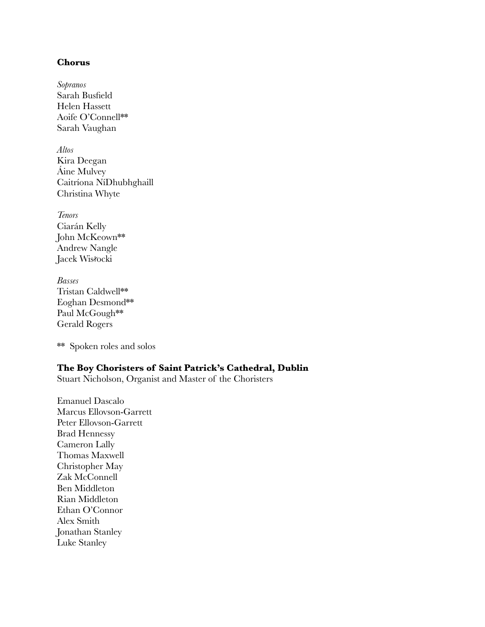#### **Chorus**

*Sopranos* Sarah Busfield Helen Hassett Aoife O'Connell\*\* Sarah Vaughan

*Altos* Kira Deegan Áine Mulvey Caitríona NíDhubhghaill Christina Whyte

*Tenors* Ciarán Kelly John McKeown\*\* Andrew Nangle Jacek Wisłocki

*Basses* Tristan Caldwell\*\* Eoghan Desmond\*\* Paul McGough<sup>\*\*</sup> Gerald Rogers

\*\* Spoken roles and solos

### **The Boy Choristers of Saint Patrick's Cathedral, Dublin**

Stuart Nicholson, Organist and Master of the Choristers

Emanuel Dascalo Marcus Ellovson-Garrett Peter Ellovson-Garrett Brad Hennessy Cameron Lally Thomas Maxwell Christopher May Zak McConnell Ben Middleton Rian Middleton Ethan O'Connor Alex Smith Jonathan Stanley Luke Stanley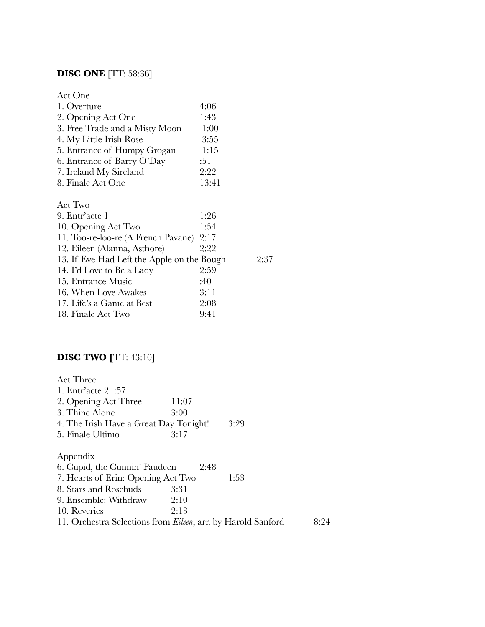# **DISC ONE** [TT: 58:36]

| Act One                        |       |
|--------------------------------|-------|
| 1. Overture                    | 4:06  |
| 2. Opening Act One             | 1:43  |
| 3. Free Trade and a Misty Moon | 1:00  |
| 4. My Little Irish Rose        | 3:55  |
| 5. Entrance of Humpy Grogan    | 1:15  |
| 6. Entrance of Barry O'Day     | :51   |
| 7. Ireland My Sireland         | 2:22  |
| 8. Finale Act One              | 13:41 |
|                                |       |

| Act Two                                    |      |      |
|--------------------------------------------|------|------|
| 9. Entr'acte 1                             | 1:26 |      |
| 10. Opening Act Two                        | 1:54 |      |
| 11. Too-re-loo-re (A French Pavane)        | 2:17 |      |
| 12. Eileen (Alanna, Asthore)               | 2:22 |      |
| 13. If Eve Had Left the Apple on the Bough |      | 9.37 |
| 14. I'd Love to Be a Lady                  | 2:59 |      |
| 15. Entrance Music                         | :40  |      |
| 16. When Love Awakes                       | 3:11 |      |
| 17. Life's a Game at Best                  | 2:08 |      |
| 18. Finale Act Two                         | 9:41 |      |

# **DISC TWO [**TT: 43:10]

| <b>Act Three</b>                                                     |       |      |      |
|----------------------------------------------------------------------|-------|------|------|
| 1. Entr'acte $2:57$                                                  |       |      |      |
| 2. Opening Act Three                                                 | 11:07 |      |      |
| 3. Thine Alone                                                       | 3:00  |      |      |
| 4. The Irish Have a Great Day Tonight!                               |       | 3:29 |      |
| 5. Finale Ultimo                                                     | 3:17  |      |      |
| Appendix                                                             |       |      |      |
| 6. Cupid, the Cunnin' Paudeen                                        | 2:48  |      |      |
| 7. Hearts of Erin: Opening Act Two                                   |       | 1:53 |      |
| 8. Stars and Rosebuds                                                | 3:31  |      |      |
| 9. Ensemble: Withdraw                                                | 2:10  |      |      |
| 10. Reveries                                                         | 2:13  |      |      |
| 11. Orchestra Selections from <i>Eileen</i> , arr. by Harold Sanford |       |      | 8:24 |
|                                                                      |       |      |      |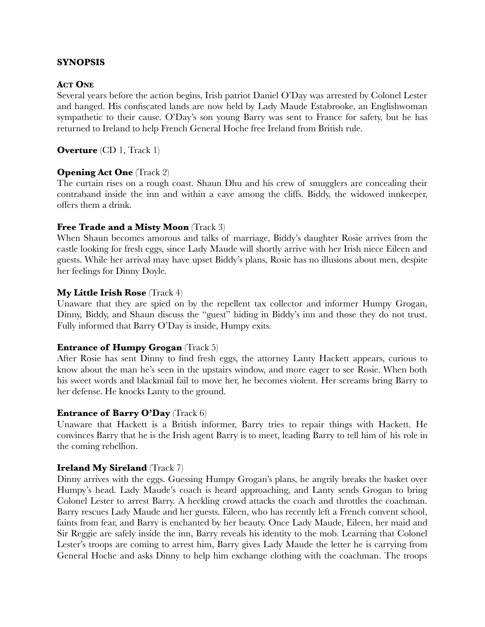### **SYNOPSIS**

#### **ACT ONE**

Several years before the action begins, Irish patriot Daniel O'Day was arrested by Colonel Lester and hanged. His confiscated lands are now held by Lady Maude Estabrooke, an Englishwoman sympathetic to their cause. O'Day's son young Barry was sent to France for safety, but he has returned to Ireland to help French General Hoche free Ireland from British rule.

**Overture** *(CD 1, Track 1)* 

### **Opening Act One** (Track 2)

The curtain rises on a rough coast. Shaun Dhu and his crew of smugglers are concealing their contraband inside the inn and within a cave among the cliffs. Biddy, the widowed innkeeper, offers them a drink.

#### **Free Trade and a Misty Moon** (Track 3)

When Shaun becomes amorous and talks of marriage, Biddy's daughter Rosie arrives from the castle looking for fresh eggs, since Lady Maude will shortly arrive with her Irish niece Eileen and guests. While her arrival may have upset Biddy's plans, Rosie has no illusions about men, despite her feelings for Dinny Doyle.

#### **My Little Irish Rose** (Track 4)

Unaware that they are spied on by the repellent tax collector and informer Humpy Grogan, Dinny, Biddy, and Shaun discuss the "guest" hiding in Biddy's inn and those they do not trust. Fully informed that Barry O'Day is inside, Humpy exits.

#### **Entrance of Humpy Grogan** *(Track 5)*

After Rosie has sent Dinny to find fresh eggs, the attorney Lanty Hackett appears, curious to know about the man he's seen in the upstairs window, and more eager to see Rosie. When both his sweet words and blackmail fail to move her, he becomes violent. Her screams bring Barry to her defense. He knocks Lanty to the ground.

#### **Entrance of Barry O'Day** (Track 6)

Unaware that Hackett is a British informer, Barry tries to repair things with Hackett. He convinces Barry that he is the Irish agent Barry is to meet, leading Barry to tell him of his role in the coming rebellion.

### **Ireland My Sireland** (Track 7)

Dinny arrives with the eggs. Guessing Humpy Grogan's plans, he angrily breaks the basket over Humpy's head. Lady Maude's coach is heard approaching, and Lanty sends Grogan to bring Colonel Lester to arrest Barry. A heckling crowd attacks the coach and throttles the coachman. Barry rescues Lady Maude and her guests. Eileen, who has recently left a French convent school, faints from fear, and Barry is enchanted by her beauty. Once Lady Maude, Eileen, her maid and Sir Reggie are safely inside the inn, Barry reveals his identity to the mob. Learning that Colonel Lester's troops are coming to arrest him, Barry gives Lady Maude the letter he is carrying from General Hoche and asks Dinny to help him exchange clothing with the coachman. The troops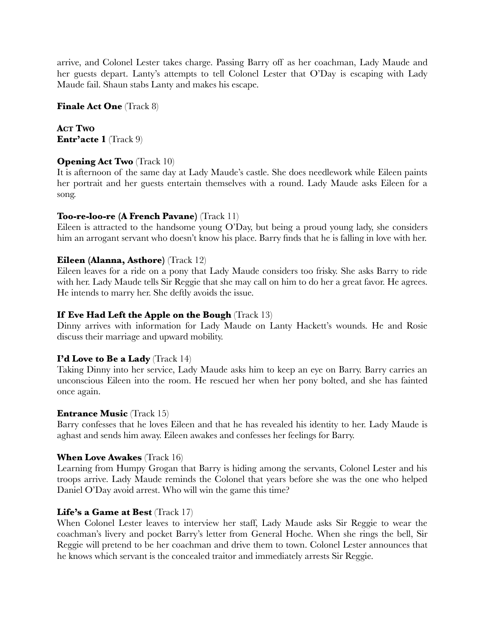arrive, and Colonel Lester takes charge. Passing Barry off as her coachman, Lady Maude and her guests depart. Lanty's attempts to tell Colonel Lester that O'Day is escaping with Lady Maude fail. Shaun stabs Lanty and makes his escape.

**Finale Act One** (Track 8)

**ACT TWO Entr'acte 1** (Track 9)

### **Opening Act Two** *(Track 10)*

It is afternoon of the same day at Lady Maude's castle. She does needlework while Eileen paints her portrait and her guests entertain themselves with a round. Lady Maude asks Eileen for a song.

### **Too-re-loo-re (A French Pavane)** (Track 11)

Eileen is attracted to the handsome young O'Day, but being a proud young lady, she considers him an arrogant servant who doesn't know his place. Barry finds that he is falling in love with her.

### **Eileen (Alanna, Asthore)** (Track 12)

Eileen leaves for a ride on a pony that Lady Maude considers too frisky. She asks Barry to ride with her. Lady Maude tells Sir Reggie that she may call on him to do her a great favor. He agrees. He intends to marry her. She deftly avoids the issue.

### **If Eve Had Left the Apple on the Bough** (Track 13)

Dinny arrives with information for Lady Maude on Lanty Hackett's wounds. He and Rosie discuss their marriage and upward mobility.

### **I'd Love to Be a Lady** (Track 14)

Taking Dinny into her service, Lady Maude asks him to keep an eye on Barry. Barry carries an unconscious Eileen into the room. He rescued her when her pony bolted, and she has fainted once again.

### **Entrance Music (Track 15)**

Barry confesses that he loves Eileen and that he has revealed his identity to her. Lady Maude is aghast and sends him away. Eileen awakes and confesses her feelings for Barry.

### **When Love Awakes** (Track 16)

Learning from Humpy Grogan that Barry is hiding among the servants, Colonel Lester and his troops arrive. Lady Maude reminds the Colonel that years before she was the one who helped Daniel O'Day avoid arrest. Who will win the game this time?

### **Life's a Game at Best** (Track 17)

When Colonel Lester leaves to interview her staff, Lady Maude asks Sir Reggie to wear the coachman's livery and pocket Barry's letter from General Hoche. When she rings the bell, Sir Reggie will pretend to be her coachman and drive them to town. Colonel Lester announces that he knows which servant is the concealed traitor and immediately arrests Sir Reggie.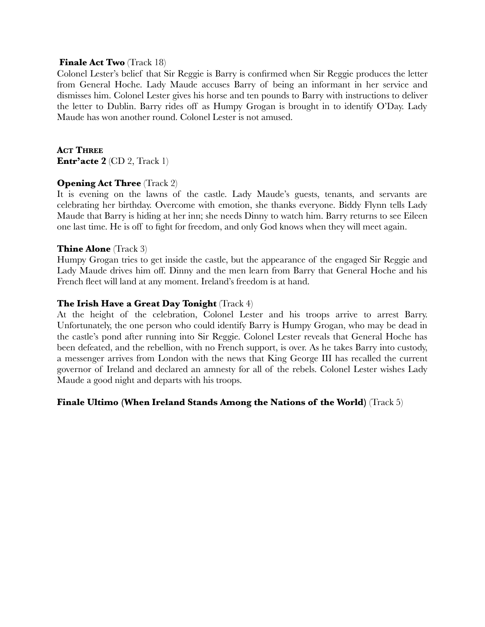#### **Finale Act Two** (Track 18)

Colonel Lester's belief that Sir Reggie is Barry is confirmed when Sir Reggie produces the letter from General Hoche. Lady Maude accuses Barry of being an informant in her service and dismisses him. Colonel Lester gives his horse and ten pounds to Barry with instructions to deliver the letter to Dublin. Barry rides off as Humpy Grogan is brought in to identify O'Day. Lady Maude has won another round. Colonel Lester is not amused.

**ACT THREE Entr'acte 2** (CD 2, Track 1)

### **Opening Act Three** *(Track 2)*

It is evening on the lawns of the castle. Lady Maude's guests, tenants, and servants are celebrating her birthday. Overcome with emotion, she thanks everyone. Biddy Flynn tells Lady Maude that Barry is hiding at her inn; she needs Dinny to watch him. Barry returns to see Eileen one last time. He is off to fight for freedom, and only God knows when they will meet again.

#### **Thine Alone** (Track 3)

Humpy Grogan tries to get inside the castle, but the appearance of the engaged Sir Reggie and Lady Maude drives him off. Dinny and the men learn from Barry that General Hoche and his French fleet will land at any moment. Ireland's freedom is at hand.

### **The Irish Have a Great Day Tonight** (Track 4)

At the height of the celebration, Colonel Lester and his troops arrive to arrest Barry. Unfortunately, the one person who could identify Barry is Humpy Grogan, who may be dead in the castle's pond after running into Sir Reggie. Colonel Lester reveals that General Hoche has been defeated, and the rebellion, with no French support, is over. As he takes Barry into custody, a messenger arrives from London with the news that King George III has recalled the current governor of Ireland and declared an amnesty for all of the rebels. Colonel Lester wishes Lady Maude a good night and departs with his troops.

### **Finale Ultimo (When Ireland Stands Among the Nations of the World)** (Track 5)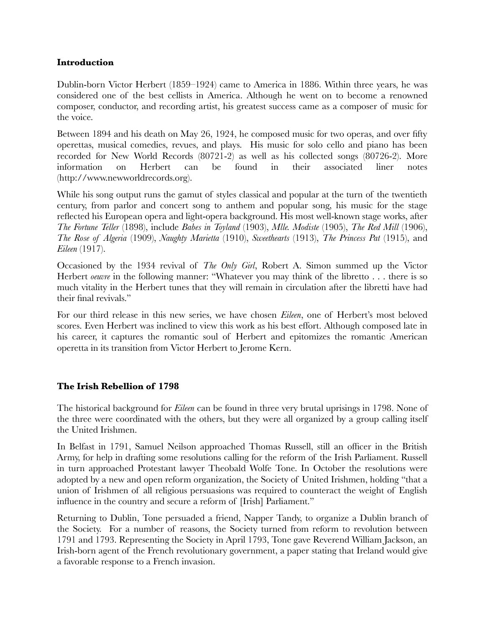### **Introduction**

Dublin-born Victor Herbert (1859–1924) came to America in 1886. Within three years, he was considered one of the best cellists in America. Although he went on to become a renowned composer, conductor, and recording artist, his greatest success came as a composer of music for the voice.

Between 1894 and his death on May 26, 1924, he composed music for two operas, and over fifty operettas, musical comedies, revues, and plays. His music for solo cello and piano has been recorded for New World Records (80721-2) as well as his collected songs (80726-2). More information on Herbert can be found in their associated liner notes (http://www.newworldrecords.org).

While his song output runs the gamut of styles classical and popular at the turn of the twentieth century, from parlor and concert song to anthem and popular song, his music for the stage reflected his European opera and light-opera background. His most well-known stage works, after *The Fortune Teller* (1898), include *Babes in Toyland* (1903), *Mlle. Modiste* (1905), *The Red Mill* (1906), *The Rose of Algeria* (1909), *Naughty Marietta* (1910), *Sweethearts* (1913), *The Princess Pat* (1915), and *Eileen* (1917).

Occasioned by the 1934 revival of *The Only Girl*, Robert A. Simon summed up the Victor Herbert *oeuvre* in the following manner: "Whatever you may think of the libretto . . . there is so much vitality in the Herbert tunes that they will remain in circulation after the libretti have had their final revivals."

For our third release in this new series, we have chosen *Eileen*, one of Herbert's most beloved scores. Even Herbert was inclined to view this work as his best effort. Although composed late in his career, it captures the romantic soul of Herbert and epitomizes the romantic American operetta in its transition from Victor Herbert to Jerome Kern.

### **The Irish Rebellion of 1798**

The historical background for *Eileen* can be found in three very brutal uprisings in 1798. None of the three were coordinated with the others, but they were all organized by a group calling itself the United Irishmen.

In Belfast in 1791, Samuel Neilson approached Thomas Russell, still an officer in the British Army, for help in drafting some resolutions calling for the reform of the Irish Parliament. Russell in turn approached Protestant lawyer Theobald Wolfe Tone. In October the resolutions were adopted by a new and open reform organization, the Society of United Irishmen, holding "that a union of Irishmen of all religious persuasions was required to counteract the weight of English influence in the country and secure a reform of [Irish] Parliament."

Returning to Dublin, Tone persuaded a friend, Napper Tandy, to organize a Dublin branch of the Society. For a number of reasons, the Society turned from reform to revolution between 1791 and 1793. Representing the Society in April 1793, Tone gave Reverend William Jackson, an Irish-born agent of the French revolutionary government, a paper stating that Ireland would give a favorable response to a French invasion.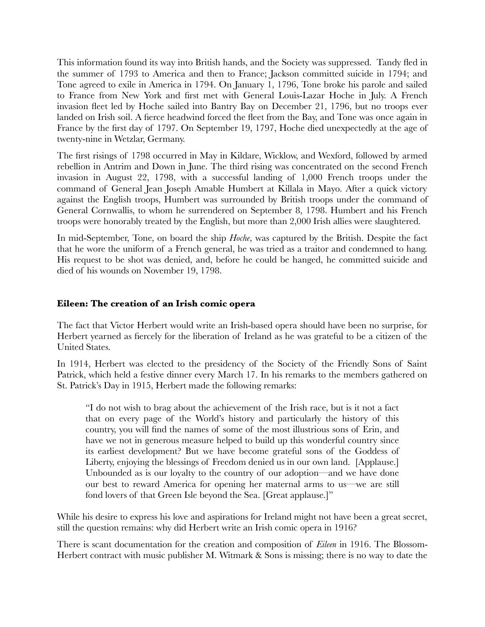This information found its way into British hands, and the Society was suppressed. Tandy fled in the summer of 1793 to America and then to France; Jackson committed suicide in 1794; and Tone agreed to exile in America in 1794. On January 1, 1796, Tone broke his parole and sailed to France from New York and first met with General Louis-Lazar Hoche in July. A French invasion fleet led by Hoche sailed into Bantry Bay on December 21, 1796, but no troops ever landed on Irish soil. A fierce headwind forced the fleet from the Bay, and Tone was once again in France by the first day of 1797. On September 19, 1797, Hoche died unexpectedly at the age of twenty-nine in Wetzlar, Germany.

The first risings of 1798 occurred in May in Kildare, Wicklow, and Wexford, followed by armed rebellion in Antrim and Down in June. The third rising was concentrated on the second French invasion in August 22, 1798, with a successful landing of 1,000 French troops under the command of General Jean Joseph Amable Humbert at Killala in Mayo. After a quick victory against the English troops, Humbert was surrounded by British troops under the command of General Cornwallis, to whom he surrendered on September 8, 1798. Humbert and his French troops were honorably treated by the English, but more than 2,000 Irish allies were slaughtered.

In mid-September, Tone, on board the ship *Hoche*, was captured by the British. Despite the fact that he wore the uniform of a French general, he was tried as a traitor and condemned to hang. His request to be shot was denied, and, before he could be hanged, he committed suicide and died of his wounds on November 19, 1798.

### **Eileen: The creation of an Irish comic opera**

The fact that Victor Herbert would write an Irish-based opera should have been no surprise, for Herbert yearned as fiercely for the liberation of Ireland as he was grateful to be a citizen of the United States.

In 1914, Herbert was elected to the presidency of the Society of the Friendly Sons of Saint Patrick, which held a festive dinner every March 17. In his remarks to the members gathered on St. Patrick's Day in 1915, Herbert made the following remarks:

"I do not wish to brag about the achievement of the Irish race, but is it not a fact that on every page of the World's history and particularly the history of this country, you will find the names of some of the most illustrious sons of Erin, and have we not in generous measure helped to build up this wonderful country since its earliest development? But we have become grateful sons of the Goddess of Liberty, enjoying the blessings of Freedom denied us in our own land. [Applause.] Unbounded as is our loyalty to the country of our adoption—and we have done our best to reward America for opening her maternal arms to us—we are still fond lovers of that Green Isle beyond the Sea. [Great applause.]"

While his desire to express his love and aspirations for Ireland might not have been a great secret, still the question remains: why did Herbert write an Irish comic opera in 1916?

There is scant documentation for the creation and composition of *Eileen* in 1916. The Blossom-Herbert contract with music publisher M. Witmark & Sons is missing; there is no way to date the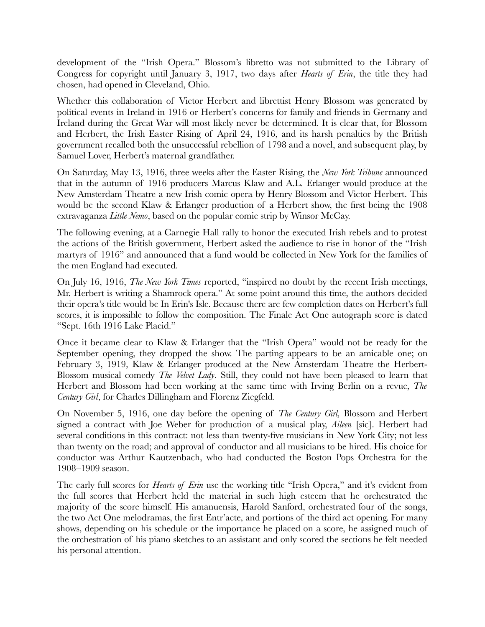development of the "Irish Opera." Blossom's libretto was not submitted to the Library of Congress for copyright until January 3, 1917, two days after *Hearts of Erin*, the title they had chosen, had opened in Cleveland, Ohio.

Whether this collaboration of Victor Herbert and librettist Henry Blossom was generated by political events in Ireland in 1916 or Herbert's concerns for family and friends in Germany and Ireland during the Great War will most likely never be determined. It is clear that, for Blossom and Herbert, the Irish Easter Rising of April 24, 1916, and its harsh penalties by the British government recalled both the unsuccessful rebellion of 1798 and a novel, and subsequent play, by Samuel Lover, Herbert's maternal grandfather.

On Saturday, May 13, 1916, three weeks after the Easter Rising, the *New York Tribune* announced that in the autumn of 1916 producers Marcus Klaw and A.L. Erlanger would produce at the New Amsterdam Theatre a new Irish comic opera by Henry Blossom and Victor Herbert. This would be the second Klaw & Erlanger production of a Herbert show, the first being the 1908 extravaganza *Little Nemo*, based on the popular comic strip by Winsor McCay.

The following evening, at a Carnegie Hall rally to honor the executed Irish rebels and to protest the actions of the British government, Herbert asked the audience to rise in honor of the "Irish martyrs of 1916" and announced that a fund would be collected in New York for the families of the men England had executed.

On July 16, 1916, *The New York Times* reported, "inspired no doubt by the recent Irish meetings, Mr. Herbert is writing a Shamrock opera." At some point around this time, the authors decided their opera's title would be In Erin's Isle. Because there are few completion dates on Herbert's full scores, it is impossible to follow the composition. The Finale Act One autograph score is dated "Sept. 16th 1916 Lake Placid."

Once it became clear to Klaw & Erlanger that the "Irish Opera" would not be ready for the September opening, they dropped the show. The parting appears to be an amicable one; on February 3, 1919, Klaw & Erlanger produced at the New Amsterdam Theatre the Herbert-Blossom musical comedy *The Velvet Lady*. Still, they could not have been pleased to learn that Herbert and Blossom had been working at the same time with Irving Berlin on a revue, *The Century Girl*, for Charles Dillingham and Florenz Ziegfeld.

On November 5, 1916, one day before the opening of *The Century Girl,* Blossom and Herbert signed a contract with Joe Weber for production of a musical play, *Aileen* [sic]. Herbert had several conditions in this contract: not less than twenty-five musicians in New York City; not less than twenty on the road; and approval of conductor and all musicians to be hired. His choice for conductor was Arthur Kautzenbach, who had conducted the Boston Pops Orchestra for the 1908–1909 season.

The early full scores for *Hearts of Erin* use the working title "Irish Opera," and it's evident from the full scores that Herbert held the material in such high esteem that he orchestrated the majority of the score himself. His amanuensis, Harold Sanford, orchestrated four of the songs, the two Act One melodramas, the first Entr'acte, and portions of the third act opening. For many shows, depending on his schedule or the importance he placed on a score, he assigned much of the orchestration of his piano sketches to an assistant and only scored the sections he felt needed his personal attention.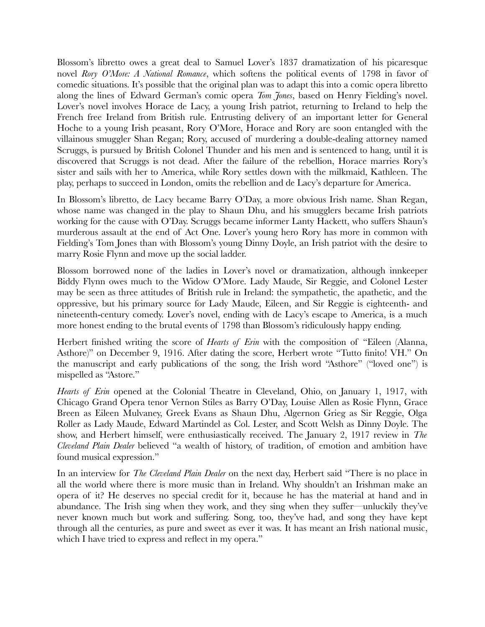Blossom's libretto owes a great deal to Samuel Lover's 1837 dramatization of his picaresque novel *Rory O'More: A National Romance*, which softens the political events of 1798 in favor of comedic situations. It's possible that the original plan was to adapt this into a comic opera libretto along the lines of Edward German's comic opera *Tom Jones*, based on Henry Fielding's novel. Lover's novel involves Horace de Lacy, a young Irish patriot, returning to Ireland to help the French free Ireland from British rule. Entrusting delivery of an important letter for General Hoche to a young Irish peasant, Rory O'More, Horace and Rory are soon entangled with the villainous smuggler Shan Regan; Rory, accused of murdering a double-dealing attorney named Scruggs, is pursued by British Colonel Thunder and his men and is sentenced to hang, until it is discovered that Scruggs is not dead. After the failure of the rebellion, Horace marries Rory's sister and sails with her to America, while Rory settles down with the milkmaid, Kathleen. The play, perhaps to succeed in London, omits the rebellion and de Lacy's departure for America.

In Blossom's libretto, de Lacy became Barry O'Day, a more obvious Irish name. Shan Regan, whose name was changed in the play to Shaun Dhu, and his smugglers became Irish patriots working for the cause with O'Day. Scruggs became informer Lanty Hackett, who suffers Shaun's murderous assault at the end of Act One. Lover's young hero Rory has more in common with Fielding's Tom Jones than with Blossom's young Dinny Doyle, an Irish patriot with the desire to marry Rosie Flynn and move up the social ladder.

Blossom borrowed none of the ladies in Lover's novel or dramatization, although innkeeper Biddy Flynn owes much to the Widow O'More. Lady Maude, Sir Reggie, and Colonel Lester may be seen as three attitudes of British rule in Ireland: the sympathetic, the apathetic, and the oppressive, but his primary source for Lady Maude, Eileen, and Sir Reggie is eighteenth- and nineteenth-century comedy. Lover's novel, ending with de Lacy's escape to America, is a much more honest ending to the brutal events of 1798 than Blossom's ridiculously happy ending.

Herbert finished writing the score of *Hearts of Erin* with the composition of "Eileen (Alanna, Asthore)" on December 9, 1916. After dating the score, Herbert wrote "Tutto finito! VH." On the manuscript and early publications of the song, the Irish word "Asthore" ("loved one") is mispelled as "Astore."

*Hearts of Erin* opened at the Colonial Theatre in Cleveland, Ohio, on January 1, 1917, with Chicago Grand Opera tenor Vernon Stiles as Barry O'Day, Louise Allen as Rosie Flynn, Grace Breen as Eileen Mulvaney, Greek Evans as Shaun Dhu, Algernon Grieg as Sir Reggie, Olga Roller as Lady Maude, Edward Martindel as Col. Lester, and Scott Welsh as Dinny Doyle. The show, and Herbert himself, were enthusiastically received. The January 2, 1917 review in *The Cleveland Plain Dealer* believed "a wealth of history, of tradition, of emotion and ambition have found musical expression."

In an interview for *The Cleveland Plain Dealer* on the next day, Herbert said "There is no place in all the world where there is more music than in Ireland. Why shouldn't an Irishman make an opera of it? He deserves no special credit for it, because he has the material at hand and in abundance. The Irish sing when they work, and they sing when they suffer—unluckily they've never known much but work and suffering. Song, too, they've had, and song they have kept through all the centuries, as pure and sweet as ever it was. It has meant an Irish national music, which I have tried to express and reflect in my opera."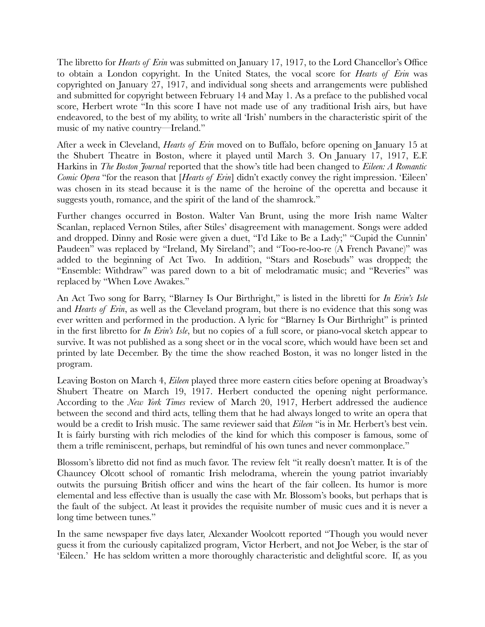The libretto for *Hearts of Erin* was submitted on January 17, 1917, to the Lord Chancellor's Office to obtain a London copyright. In the United States, the vocal score for *Hearts of Erin* was copyrighted on January 27, 1917, and individual song sheets and arrangements were published and submitted for copyright between February 14 and May 1. As a preface to the published vocal score, Herbert wrote "In this score I have not made use of any traditional Irish airs, but have endeavored, to the best of my ability, to write all 'Irish' numbers in the characteristic spirit of the music of my native country—Ireland."

After a week in Cleveland, *Hearts of Erin* moved on to Buffalo, before opening on January 15 at the Shubert Theatre in Boston, where it played until March 3. On January 17, 1917, E.F. Harkins in *The Boston Journal* reported that the show's title had been changed to *Eileen: A Romantic Comic Opera* "for the reason that [*Hearts of Erin*] didn't exactly convey the right impression. 'Eileen' was chosen in its stead because it is the name of the heroine of the operetta and because it suggests youth, romance, and the spirit of the land of the shamrock."

Further changes occurred in Boston. Walter Van Brunt, using the more Irish name Walter Scanlan, replaced Vernon Stiles, after Stiles' disagreement with management. Songs were added and dropped. Dinny and Rosie were given a duet, "I'd Like to Be a Lady;" "Cupid the Cunnin' Paudeen" was replaced by "Ireland, My Sireland"; and "Too-re-loo-re (A French Pavane)" was added to the beginning of Act Two. In addition, "Stars and Rosebuds" was dropped; the "Ensemble: Withdraw" was pared down to a bit of melodramatic music; and "Reveries" was replaced by "When Love Awakes."

An Act Two song for Barry, "Blarney Is Our Birthright," is listed in the libretti for *In Erin's Isle* and *Hearts of Erin*, as well as the Cleveland program, but there is no evidence that this song was ever written and performed in the production. A lyric for "Blarney Is Our Birthright" is printed in the first libretto for *In Erin's Isle*, but no copies of a full score, or piano-vocal sketch appear to survive. It was not published as a song sheet or in the vocal score, which would have been set and printed by late December. By the time the show reached Boston, it was no longer listed in the program.

Leaving Boston on March 4, *Eileen* played three more eastern cities before opening at Broadway's Shubert Theatre on March 19, 1917. Herbert conducted the opening night performance. According to the *New York Times* review of March 20, 1917, Herbert addressed the audience between the second and third acts, telling them that he had always longed to write an opera that would be a credit to Irish music. The same reviewer said that *Eileen* "is in Mr. Herbert's best vein. It is fairly bursting with rich melodies of the kind for which this composer is famous, some of them a trifle reminiscent, perhaps, but remindful of his own tunes and never commonplace."

Blossom's libretto did not find as much favor. The review felt "it really doesn't matter. It is of the Chauncey Olcott school of romantic Irish melodrama, wherein the young patriot invariably outwits the pursuing British officer and wins the heart of the fair colleen. Its humor is more elemental and less effective than is usually the case with Mr. Blossom's books, but perhaps that is the fault of the subject. At least it provides the requisite number of music cues and it is never a long time between tunes."

In the same newspaper five days later, Alexander Woolcott reported "Though you would never guess it from the curiously capitalized program, Victor Herbert, and not Joe Weber, is the star of 'Eileen.' He has seldom written a more thoroughly characteristic and delightful score. If, as you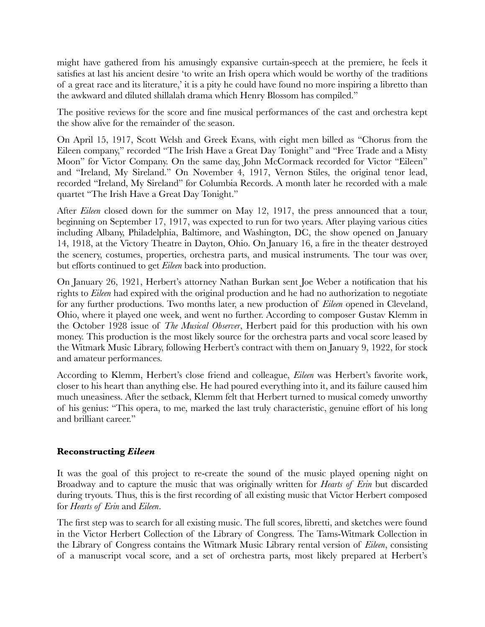might have gathered from his amusingly expansive curtain-speech at the premiere, he feels it satisfies at last his ancient desire 'to write an Irish opera which would be worthy of the traditions of a great race and its literature,' it is a pity he could have found no more inspiring a libretto than the awkward and diluted shillalah drama which Henry Blossom has compiled."

The positive reviews for the score and fine musical performances of the cast and orchestra kept the show alive for the remainder of the season.

On April 15, 1917, Scott Welsh and Greek Evans, with eight men billed as "Chorus from the Eileen company," recorded "The Irish Have a Great Day Tonight" and "Free Trade and a Misty Moon" for Victor Company. On the same day, John McCormack recorded for Victor "Eileen" and "Ireland, My Sireland." On November 4, 1917, Vernon Stiles, the original tenor lead, recorded "Ireland, My Sireland" for Columbia Records. A month later he recorded with a male quartet "The Irish Have a Great Day Tonight."

After *Eileen* closed down for the summer on May 12, 1917, the press announced that a tour, beginning on September 17, 1917, was expected to run for two years. After playing various cities including Albany, Philadelphia, Baltimore, and Washington, DC, the show opened on January 14, 1918, at the Victory Theatre in Dayton, Ohio. On January 16, a fire in the theater destroyed the scenery, costumes, properties, orchestra parts, and musical instruments. The tour was over, but efforts continued to get *Eileen* back into production.

On January 26, 1921, Herbert's attorney Nathan Burkan sent Joe Weber a notification that his rights to *Eileen* had expired with the original production and he had no authorization to negotiate for any further productions. Two months later, a new production of *Eileen* opened in Cleveland, Ohio, where it played one week, and went no further. According to composer Gustav Klemm in the October 1928 issue of *The Musical Observer*, Herbert paid for this production with his own money. This production is the most likely source for the orchestra parts and vocal score leased by the Witmark Music Library, following Herbert's contract with them on January 9, 1922, for stock and amateur performances.

According to Klemm, Herbert's close friend and colleague, *Eileen* was Herbert's favorite work, closer to his heart than anything else. He had poured everything into it, and its failure caused him much uneasiness. After the setback, Klemm felt that Herbert turned to musical comedy unworthy of his genius: "This opera, to me, marked the last truly characteristic, genuine effort of his long and brilliant career."

### **Reconstructing** *Eileen*

It was the goal of this project to re-create the sound of the music played opening night on Broadway and to capture the music that was originally written for *Hearts of Erin* but discarded during tryouts. Thus, this is the first recording of all existing music that Victor Herbert composed for *Hearts of Erin* and *Eileen*.

The first step was to search for all existing music. The full scores, libretti, and sketches were found in the Victor Herbert Collection of the Library of Congress. The Tams-Witmark Collection in the Library of Congress contains the Witmark Music Library rental version of *Eileen*, consisting of a manuscript vocal score, and a set of orchestra parts, most likely prepared at Herbert's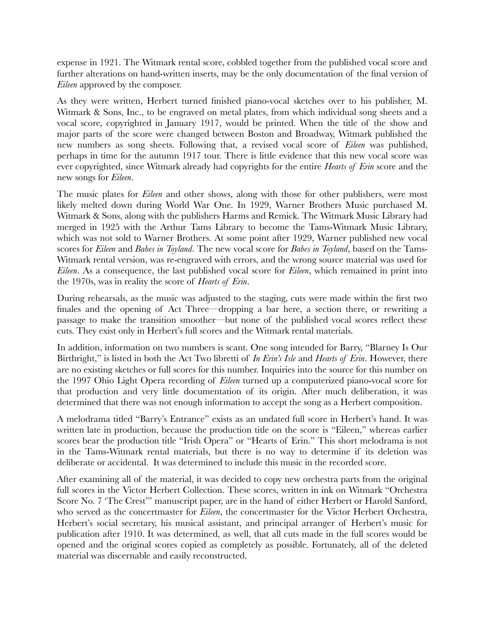expense in 1921. The Witmark rental score, cobbled together from the published vocal score and further alterations on hand-written inserts, may be the only documentation of the final version of *Eileen* approved by the composer.

As they were written, Herbert turned finished piano-vocal sketches over to his publisher, M. Witmark & Sons, Inc., to be engraved on metal plates, from which individual song sheets and a vocal score, copyrighted in January 1917, would be printed. When the title of the show and major parts of the score were changed between Boston and Broadway, Witmark published the new numbers as song sheets. Following that, a revised vocal score of *Eileen* was published, perhaps in time for the autumn 1917 tour. There is little evidence that this new vocal score was ever copyrighted, since Witmark already had copyrights for the entire *Hearts of Erin* score and the new songs for *Eileen*.

The music plates for *Eileen* and other shows, along with those for other publishers, were most likely melted down during World War One. In 1929, Warner Brothers Music purchased M. Witmark & Sons, along with the publishers Harms and Remick. The Witmark Music Library had merged in 1925 with the Arthur Tams Library to become the Tams-Witmark Music Library, which was not sold to Warner Brothers. At some point after 1929, Warner published new vocal scores for *Eileen* and *Babes in Toyland*. The new vocal score for *Babes in Toyland*, based on the Tams-Witmark rental version, was re-engraved with errors, and the wrong source material was used for *Eileen*. As a consequence, the last published vocal score for *Eileen*, which remained in print into the 1970s, was in reality the score of *Hearts of Erin*.

During rehearsals, as the music was adjusted to the staging, cuts were made within the first two finales and the opening of Act Three—dropping a bar here, a section there, or rewriting a passage to make the transition smoother—but none of the published vocal scores reflect these cuts. They exist only in Herbert's full scores and the Witmark rental materials.

In addition, information on two numbers is scant. One song intended for Barry, "Blarney Is Our Birthright," is listed in both the Act Two libretti of *In Erin's Isle* and *Hearts of Erin*. However, there are no existing sketches or full scores for this number. Inquiries into the source for this number on the 1997 Ohio Light Opera recording of *Eileen* turned up a computerized piano-vocal score for that production and very little documentation of its origin. After much deliberation, it was determined that there was not enough information to accept the song as a Herbert composition.

A melodrama titled "Barry's Entrance" exists as an undated full score in Herbert's hand. It was written late in production, because the production title on the score is "Eileen," whereas earlier scores bear the production title "Irish Opera" or "Hearts of Erin." This short melodrama is not in the Tams-Witmark rental materials, but there is no way to determine if its deletion was deliberate or accidental. It was determined to include this music in the recorded score.

After examining all of the material, it was decided to copy new orchestra parts from the original full scores in the Victor Herbert Collection. These scores, written in ink on Witmark "Orchestra Score No. 7 'The Crest'" manuscript paper, are in the hand of either Herbert or Harold Sanford, who served as the concertmaster for *Eileen*, the concertmaster for the Victor Herbert Orchestra, Herbert's social secretary, his musical assistant, and principal arranger of Herbert's music for publication after 1910. It was determined, as well, that all cuts made in the full scores would be opened and the original scores copied as completely as possible. Fortunately, all of the deleted material was discernable and easily reconstructed.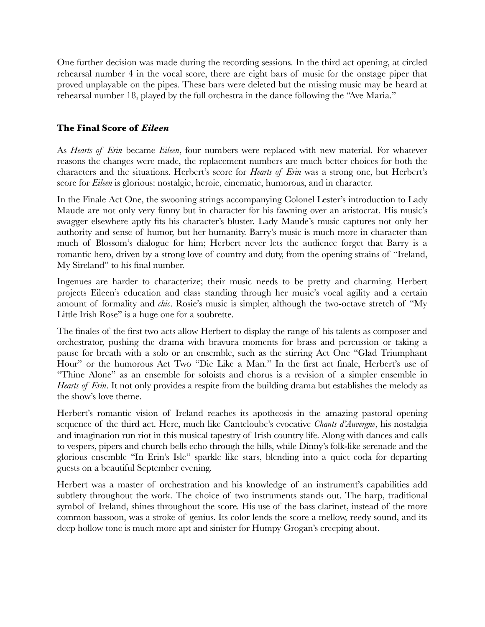One further decision was made during the recording sessions. In the third act opening, at circled rehearsal number 4 in the vocal score, there are eight bars of music for the onstage piper that proved unplayable on the pipes. These bars were deleted but the missing music may be heard at rehearsal number 18, played by the full orchestra in the dance following the "Ave Maria."

### **The Final Score of** *Eileen*

As *Hearts of Erin* became *Eileen*, four numbers were replaced with new material. For whatever reasons the changes were made, the replacement numbers are much better choices for both the characters and the situations. Herbert's score for *Hearts of Erin* was a strong one, but Herbert's score for *Eileen* is glorious: nostalgic, heroic, cinematic, humorous, and in character.

In the Finale Act One, the swooning strings accompanying Colonel Lester's introduction to Lady Maude are not only very funny but in character for his fawning over an aristocrat. His music's swagger elsewhere aptly fits his character's bluster. Lady Maude's music captures not only her authority and sense of humor, but her humanity. Barry's music is much more in character than much of Blossom's dialogue for him; Herbert never lets the audience forget that Barry is a romantic hero, driven by a strong love of country and duty, from the opening strains of "Ireland, My Sireland" to his final number.

Ingenues are harder to characterize; their music needs to be pretty and charming. Herbert projects Eileen's education and class standing through her music's vocal agility and a certain amount of formality and *chic*. Rosie's music is simpler, although the two-octave stretch of "My Little Irish Rose" is a huge one for a soubrette.

The finales of the first two acts allow Herbert to display the range of his talents as composer and orchestrator, pushing the drama with bravura moments for brass and percussion or taking a pause for breath with a solo or an ensemble, such as the stirring Act One "Glad Triumphant Hour" or the humorous Act Two "Die Like a Man." In the first act finale, Herbert's use of "Thine Alone" as an ensemble for soloists and chorus is a revision of a simpler ensemble in *Hearts of Erin*. It not only provides a respite from the building drama but establishes the melody as the show's love theme.

Herbert's romantic vision of Ireland reaches its apotheosis in the amazing pastoral opening sequence of the third act. Here, much like Canteloube's evocative *Chants d'Auvergne*, his nostalgia and imagination run riot in this musical tapestry of Irish country life. Along with dances and calls to vespers, pipers and church bells echo through the hills, while Dinny's folk-like serenade and the glorious ensemble "In Erin's Isle" sparkle like stars, blending into a quiet coda for departing guests on a beautiful September evening.

Herbert was a master of orchestration and his knowledge of an instrument's capabilities add subtlety throughout the work. The choice of two instruments stands out. The harp, traditional symbol of Ireland, shines throughout the score. His use of the bass clarinet, instead of the more common bassoon, was a stroke of genius. Its color lends the score a mellow, reedy sound, and its deep hollow tone is much more apt and sinister for Humpy Grogan's creeping about.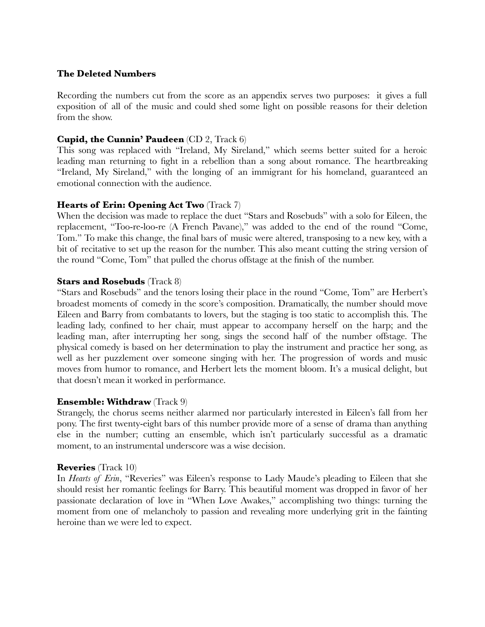### **The Deleted Numbers**

Recording the numbers cut from the score as an appendix serves two purposes: it gives a full exposition of all of the music and could shed some light on possible reasons for their deletion from the show.

### **Cupid, the Cunnin' Paudeen** (CD 2, Track 6)

This song was replaced with "Ireland, My Sireland," which seems better suited for a heroic leading man returning to fight in a rebellion than a song about romance. The heartbreaking "Ireland, My Sireland," with the longing of an immigrant for his homeland, guaranteed an emotional connection with the audience.

### **Hearts of Erin: Opening Act Two** (Track 7)

When the decision was made to replace the duet "Stars and Rosebuds" with a solo for Eileen, the replacement, "Too-re-loo-re (A French Pavane)," was added to the end of the round "Come, Tom." To make this change, the final bars of music were altered, transposing to a new key, with a bit of recitative to set up the reason for the number. This also meant cutting the string version of the round "Come, Tom" that pulled the chorus offstage at the finish of the number.

### **Stars and Rosebuds** (Track 8)

"Stars and Rosebuds" and the tenors losing their place in the round "Come, Tom" are Herbert's broadest moments of comedy in the score's composition. Dramatically, the number should move Eileen and Barry from combatants to lovers, but the staging is too static to accomplish this. The leading lady, confined to her chair, must appear to accompany herself on the harp; and the leading man, after interrupting her song, sings the second half of the number offstage. The physical comedy is based on her determination to play the instrument and practice her song, as well as her puzzlement over someone singing with her. The progression of words and music moves from humor to romance, and Herbert lets the moment bloom. It's a musical delight, but that doesn't mean it worked in performance.

### **Ensemble: Withdraw** (Track 9)

Strangely, the chorus seems neither alarmed nor particularly interested in Eileen's fall from her pony. The first twenty-eight bars of this number provide more of a sense of drama than anything else in the number; cutting an ensemble, which isn't particularly successful as a dramatic moment, to an instrumental underscore was a wise decision.

### **Reveries** (Track 10)

In *Hearts of Erin*, "Reveries" was Eileen's response to Lady Maude's pleading to Eileen that she should resist her romantic feelings for Barry. This beautiful moment was dropped in favor of her passionate declaration of love in "When Love Awakes," accomplishing two things: turning the moment from one of melancholy to passion and revealing more underlying grit in the fainting heroine than we were led to expect.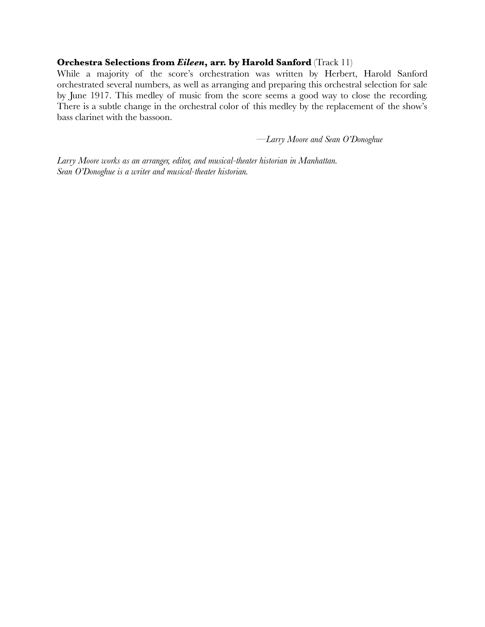#### **Orchestra Selections from** *Eileen***, arr. by Harold Sanford** (Track 11)

While a majority of the score's orchestration was written by Herbert, Harold Sanford orchestrated several numbers, as well as arranging and preparing this orchestral selection for sale by June 1917. This medley of music from the score seems a good way to close the recording. There is a subtle change in the orchestral color of this medley by the replacement of the show's bass clarinet with the bassoon.

—*Larry Moore and Sean O'Donoghue*

*Larry Moore works as an arranger, editor, and musical-theater historian in Manhattan. Sean O'Donoghue is a writer and musical-theater historian.*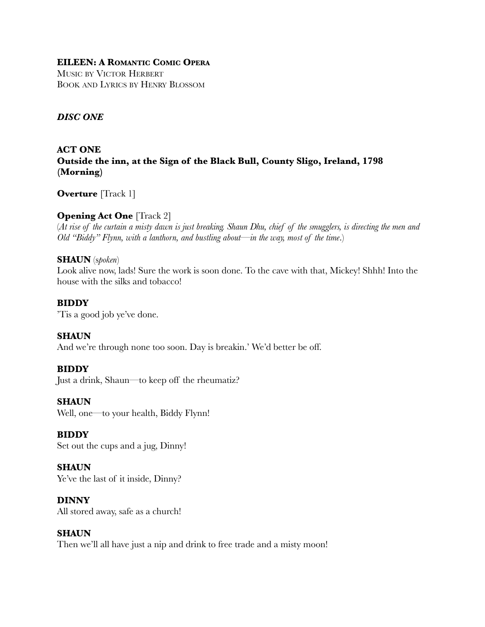### **EILEEN: A ROMANTIC COMIC OPERA**

MUSIC BY VICTOR HERBERT BOOK AND LYRICS BY HENRY BLOSSOM

### *DISC ONE*

### **ACT ONE Outside the inn, at the Sign of the Black Bull, County Sligo, Ireland, 1798 (Morning)**

**Overture** [Track 1]

### **Opening Act One** [Track 2]

(*At rise of the curtain a misty dawn is just breaking. Shaun Dhu, chief of the smugglers, is directing the men and Old "Biddy" Flynn, with a lanthorn, and bustling about—in the way, most of the time*.)

### **SHAUN** (s*poken*)

Look alive now, lads! Sure the work is soon done. To the cave with that, Mickey! Shhh! Into the house with the silks and tobacco!

#### **BIDDY**

'Tis a good job ye've done.

**SHAUN** And we're through none too soon. Day is breakin.' We'd better be off.

### **BIDDY**

Just a drink, Shaun—to keep off the rheumatiz?

#### **SHAUN**

Well, one—to your health, Biddy Flynn!

### **BIDDY**

Set out the cups and a jug, Dinny!

### **SHAUN**

Ye've the last of it inside, Dinny?

### **DINNY**

All stored away, safe as a church!

### **SHAUN**

Then we'll all have just a nip and drink to free trade and a misty moon!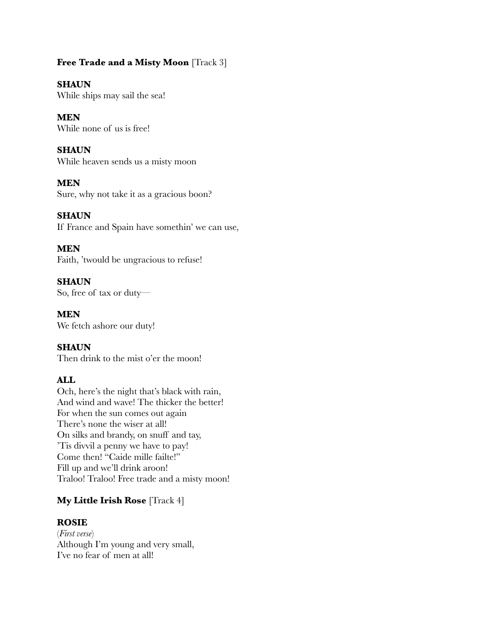### **Free Trade and a Misty Moon** [Track 3]

### **SHAUN**

While ships may sail the sea!

# **MEN**

While none of us is free!

### **SHAUN**

While heaven sends us a misty moon

### **MEN**

Sure, why not take it as a gracious boon?

### **SHAUN**

If France and Spain have somethin' we can use,

### **MEN**

Faith, 'twould be ungracious to refuse!

### **SHAUN** So, free of tax or duty—

**MEN** We fetch ashore our duty!

### **SHAUN**

Then drink to the mist o'er the moon!

### **ALL**

Och, here's the night that's black with rain, And wind and wave! The thicker the better! For when the sun comes out again There's none the wiser at all! On silks and brandy, on snuff and tay, 'Tis divvil a penny we have to pay! Come then! "Caide mille failte!" Fill up and we'll drink aroon! Traloo! Traloo! Free trade and a misty moon!

### **My Little Irish Rose** [Track 4]

### **ROSIE**

(*First verse*) Although I'm young and very small, I've no fear of men at all!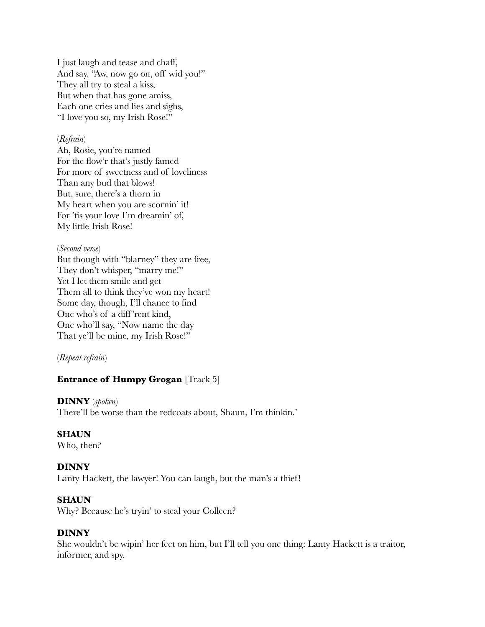I just laugh and tease and chaff, And say, "Aw, now go on, off wid you!" They all try to steal a kiss, But when that has gone amiss, Each one cries and lies and sighs, "I love you so, my Irish Rose!"

#### (*Refrain*)

Ah, Rosie, you're named For the flow'r that's justly famed For more of sweetness and of loveliness Than any bud that blows! But, sure, there's a thorn in My heart when you are scornin' it! For 'tis your love I'm dreamin' of, My little Irish Rose!

#### (*Second verse*)

But though with "blarney" they are free, They don't whisper, "marry me!" Yet I let them smile and get Them all to think they've won my heart! Some day, though, I'll chance to find One who's of a diff 'rent kind, One who'll say, "Now name the day That ye'll be mine, my Irish Rose!"

(*Repeat refrain*)

### **Entrance of Humpy Grogan** [Track 5]

### **DINNY** (*spoken*)

There'll be worse than the redcoats about, Shaun, I'm thinkin.'

#### **SHAUN**

Who, then?

### **DINNY**

Lanty Hackett, the lawyer! You can laugh, but the man's a thief!

#### **SHAUN**

Why? Because he's tryin' to steal your Colleen?

### **DINNY**

She wouldn't be wipin' her feet on him, but I'll tell you one thing: Lanty Hackett is a traitor, informer, and spy.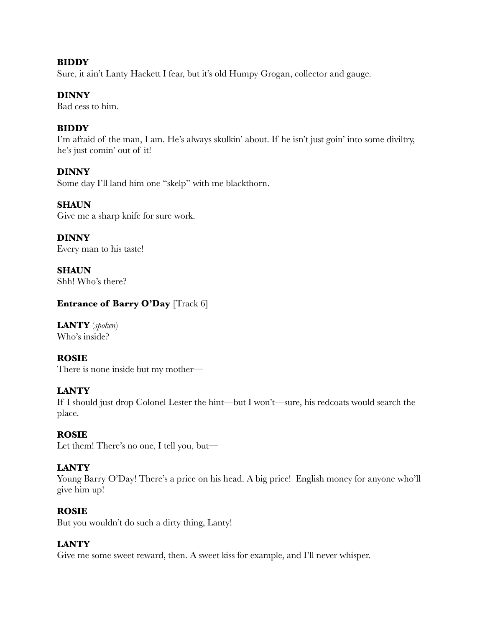### **BIDDY**

Sure, it ain't Lanty Hackett I fear, but it's old Humpy Grogan, collector and gauge.

### **DINNY**

Bad cess to him.

### **BIDDY**

I'm afraid of the man, I am. He's always skulkin' about. If he isn't just goin' into some diviltry, he's just comin' out of it!

### **DINNY**

Some day I'll land him one "skelp" with me blackthorn.

### **SHAUN**

Give me a sharp knife for sure work.

**DINNY** Every man to his taste!

**SHAUN** Shh! Who's there?

### **Entrance of Barry O'Day** [Track 6]

**LANTY** (*spoken*) Who's inside?

### **ROSIE**

There is none inside but my mother—

### **LANTY**

If I should just drop Colonel Lester the hint—but I won't—sure, his redcoats would search the place.

### **ROSIE**

Let them! There's no one, I tell you, but—

### **LANTY**

Young Barry O'Day! There's a price on his head. A big price! English money for anyone who'll give him up!

### **ROSIE**

But you wouldn't do such a dirty thing, Lanty!

### **LANTY**

Give me some sweet reward, then. A sweet kiss for example, and I'll never whisper.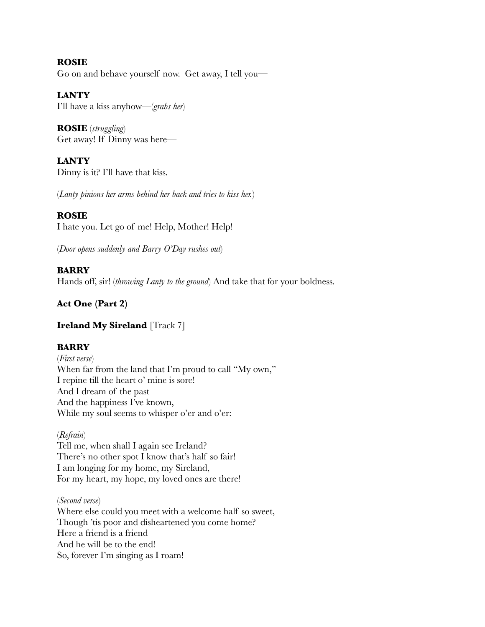**ROSIE** Go on and behave yourself now. Get away, I tell you—

**LANTY** I'll have a kiss anyhow—(*grabs her*)

**ROSIE** (*struggling*) Get away! If Dinny was here—

**LANTY** Dinny is it? I'll have that kiss.

(*Lanty pinions her arms behind her back and tries to kiss her.*)

### **ROSIE**

I hate you. Let go of me! Help, Mother! Help!

(*Door opens suddenly and Barry O'Day rushes out*)

### **BARRY**

Hands off, sir! (*throwing Lanty to the ground*) And take that for your boldness.

### **Act One (Part 2)**

### **Ireland My Sireland** [Track 7]

### **BARRY**

(*First verse*) When far from the land that I'm proud to call "My own," I repine till the heart o' mine is sore! And I dream of the past And the happiness I've known, While my soul seems to whisper o'er and o'er:

### (*Refrain*)

Tell me, when shall I again see Ireland? There's no other spot I know that's half so fair! I am longing for my home, my Sireland, For my heart, my hope, my loved ones are there!

(*Second verse*)

Where else could you meet with a welcome half so sweet, Though 'tis poor and disheartened you come home? Here a friend is a friend And he will be to the end! So, forever I'm singing as I roam!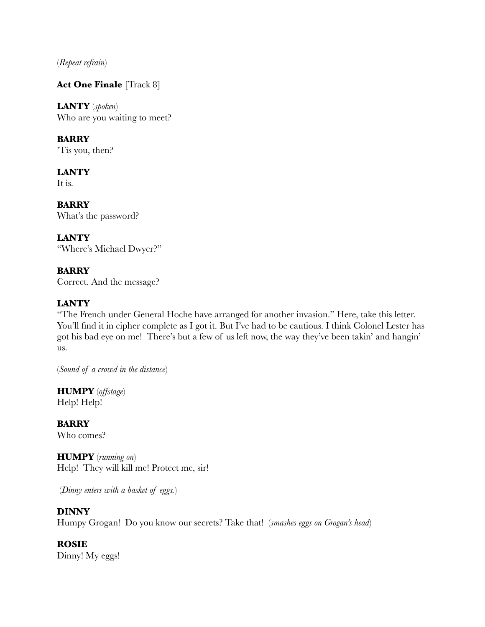(*Repeat refrain*)

### **Act One Finale** [Track 8]

**LANTY** (*spoken*) Who are you waiting to meet?

**BARRY**

'Tis you, then?

**LANTY** It is.

**BARRY** What's the password?

**LANTY** "Where's Michael Dwyer?"

**BARRY** Correct. And the message?

### **LANTY**

"The French under General Hoche have arranged for another invasion." Here, take this letter. You'll find it in cipher complete as I got it. But I've had to be cautious. I think Colonel Lester has got his bad eye on me! There's but a few of us left now, the way they've been takin' and hangin' us.

(*Sound of a crowd in the distance*)

**HUMPY** (*offstage*) Help! Help!

**BARRY** Who comes?

**HUMPY** (*running on*) Help! They will kill me! Protect me, sir!

(*Dinny enters with a basket of eggs.*)

### **DINNY**

Humpy Grogan! Do you know our secrets? Take that! (*smashes eggs on Grogan's head*)

**ROSIE** Dinny! My eggs!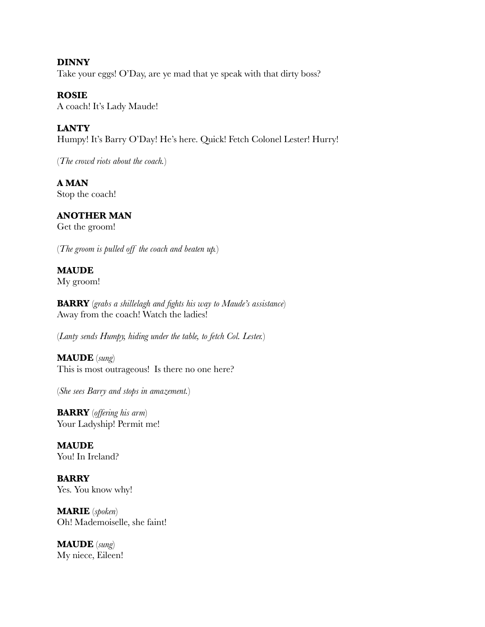**DINNY** Take your eggs! O'Day, are ye mad that ye speak with that dirty boss?

**ROSIE** A coach! It's Lady Maude!

**LANTY**

Humpy! It's Barry O'Day! He's here. Quick! Fetch Colonel Lester! Hurry!

(*The crowd riots about the coach.*)

**A MAN** Stop the coach!

### **ANOTHER MAN**

Get the groom!

(*The groom is pulled off the coach and beaten up.*)

### **MAUDE**

My groom!

**BARRY** (*grabs a shillelagh and fights his way to Maude's assistance*) Away from the coach! Watch the ladies!

(*Lanty sends Humpy, hiding under the table, to fetch Col. Lester.*)

**MAUDE** (*sung*) This is most outrageous! Is there no one here?

(*She sees Barry and stops in amazement.*)

**BARRY** (*offering his arm*) Your Ladyship! Permit me!

**MAUDE** You! In Ireland?

**BARRY** Yes. You know why!

**MARIE** (*spoken*) Oh! Mademoiselle, she faint!

**MAUDE** (*sung*) My niece, Eileen!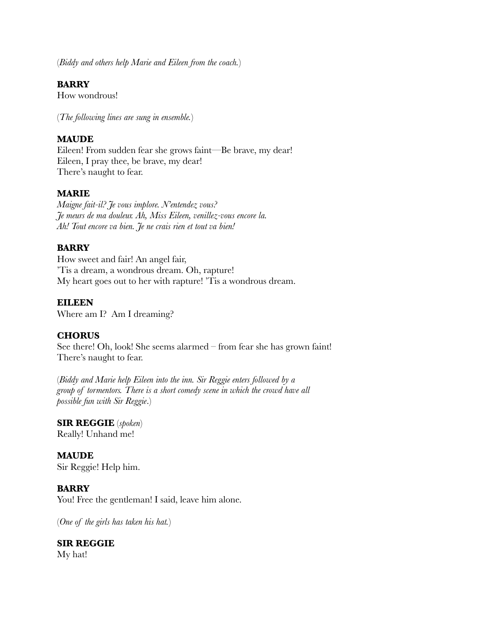(*Biddy and others help Marie and Eileen from the coach.*)

### **BARRY**

How wondrous!

(*The following lines are sung in ensemble.*)

### **MAUDE**

Eileen! From sudden fear she grows faint—Be brave, my dear! Eileen, I pray thee, be brave, my dear! There's naught to fear.

### **MARIE**

*Maigne fait-il? Je vous implore. N'entendez vous? Je meurs de ma douleur. Ah, Miss Eileen, venillez-vous encore la. Ah! Tout encore va bien. Je ne crais rien et tout va bien!*

### **BARRY**

How sweet and fair! An angel fair, 'Tis a dream, a wondrous dream. Oh, rapture! My heart goes out to her with rapture! 'Tis a wondrous dream.

### **EILEEN**

Where am I? Am I dreaming?

### **CHORUS**

See there! Oh, look! She seems alarmed – from fear she has grown faint! There's naught to fear.

(*Biddy and Marie help Eileen into the inn. Sir Reggie enters followed by a group of tormentors. There is a short comedy scene in which the crowd have all possible fun with Sir Reggie*.)

### **SIR REGGIE** (*spoken*)

Really! Unhand me!

**MAUDE** Sir Reggie! Help him.

### **BARRY**

You! Free the gentleman! I said, leave him alone.

(*One of the girls has taken his hat.*)

**SIR REGGIE** My hat!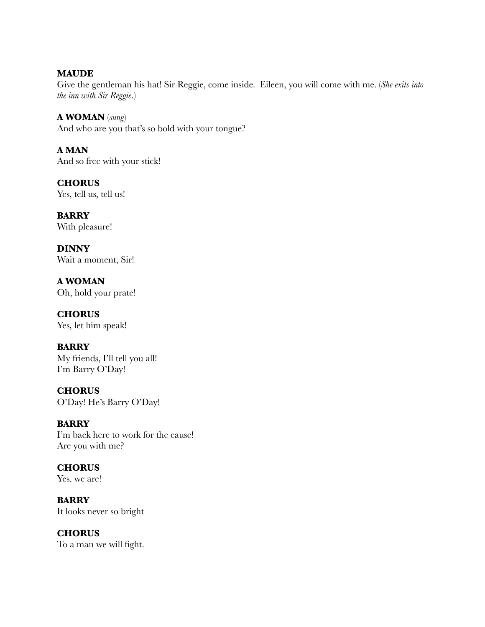**MAUDE**

Give the gentleman his hat! Sir Reggie, come inside. Eileen, you will come with me. (*She exits into the inn with Sir Reggie*.)

**A WOMAN** (*sung*) And who are you that's so bold with your tongue?

**A MAN** And so free with your stick!

**CHORUS** Yes, tell us, tell us!

**BARRY** With pleasure!

**DINNY** Wait a moment, Sir!

**A WOMAN** Oh, hold your prate!

**CHORUS** Yes, let him speak!

### **BARRY**

My friends, I'll tell you all! I'm Barry O'Day!

**CHORUS** O'Day! He's Barry O'Day!

### **BARRY**

I'm back here to work for the cause! Are you with me?

**CHORUS** Yes, we are!

**BARRY** It looks never so bright

**CHORUS**

To a man we will fight.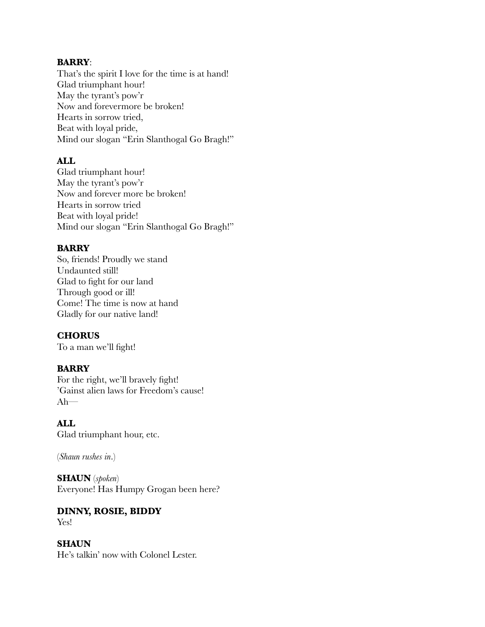#### **BARRY**:

That's the spirit I love for the time is at hand! Glad triumphant hour! May the tyrant's pow'r Now and forevermore be broken! Hearts in sorrow tried, Beat with loyal pride, Mind our slogan "Erin Slanthogal Go Bragh!"

### **ALL**

Glad triumphant hour! May the tyrant's pow'r Now and forever more be broken! Hearts in sorrow tried Beat with loyal pride! Mind our slogan "Erin Slanthogal Go Bragh!"

### **BARRY**

So, friends! Proudly we stand Undaunted still! Glad to fight for our land Through good or ill! Come! The time is now at hand Gladly for our native land!

### **CHORUS**

To a man we'll fight!

### **BARRY**

For the right, we'll bravely fight! 'Gainst alien laws for Freedom's cause!  $Ah$ —

### **ALL**

Glad triumphant hour, etc.

(*Shaun rushes in*.)

# **SHAUN** (*spoken*)

Everyone! Has Humpy Grogan been here?

#### **DINNY, ROSIE, BIDDY** Yes!

### **SHAUN**

He's talkin' now with Colonel Lester.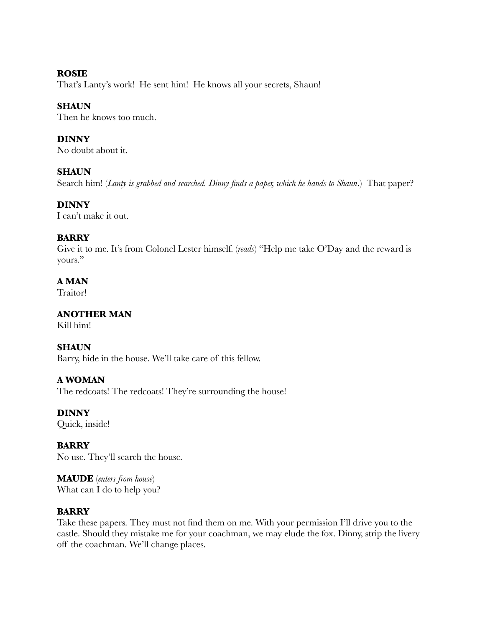### **ROSIE**

That's Lanty's work! He sent him! He knows all your secrets, Shaun!

### **SHAUN**

Then he knows too much.

### **DINNY**

No doubt about it.

### **SHAUN**

Search him! (*Lanty is grabbed and searched. Dinny finds a paper, which he hands to Shaun*.) That paper?

### **DINNY**

I can't make it out.

### **BARRY**

Give it to me. It's from Colonel Lester himself. (*reads*) "Help me take O'Day and the reward is yours."

### **A MAN**

Traitor!

### **ANOTHER MAN**

Kill him!

### **SHAUN**

Barry, hide in the house. We'll take care of this fellow.

### **A WOMAN**

The redcoats! The redcoats! They're surrounding the house!

**DINNY**

Quick, inside!

### **BARRY** No use. They'll search the house.

**MAUDE** (*enters from house*) What can I do to help you?

### **BARRY**

Take these papers. They must not find them on me. With your permission I'll drive you to the castle. Should they mistake me for your coachman, we may elude the fox. Dinny, strip the livery off the coachman. We'll change places.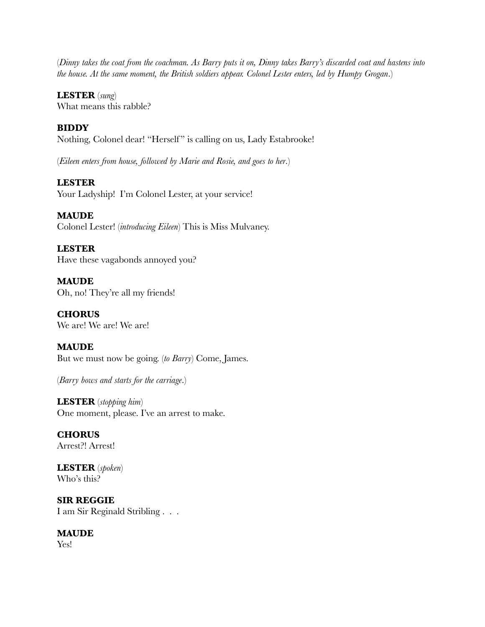(*Dinny takes the coat from the coachman. As Barry puts it on, Dinny takes Barry's discarded coat and hastens into the house. At the same moment, the British soldiers appear. Colonel Lester enters, led by Humpy Grogan*.)

### **LESTER** (*sung*)

What means this rabble?

### **BIDDY**

Nothing, Colonel dear! "Herself" is calling on us, Lady Estabrooke!

(*Eileen enters from house, followed by Marie and Rosie, and goes to her*.)

### **LESTER**

Your Ladyship! I'm Colonel Lester, at your service!

### **MAUDE**

Colonel Lester! (*introducing Eileen*) This is Miss Mulvaney.

### **LESTER**

Have these vagabonds annoyed you?

**MAUDE** Oh, no! They're all my friends!

**CHORUS** We are! We are! We are!

### **MAUDE**

But we must now be going. (*to Barry*) Come, James.

(*Barry bows and starts for the carriage*.)

**LESTER** (*stopping him*) One moment, please. I've an arrest to make.

**CHORUS** Arrest?! Arrest!

**LESTER** (*spoken*) Who's this?

**SIR REGGIE** I am Sir Reginald Stribling . . .

### **MAUDE**

Yes!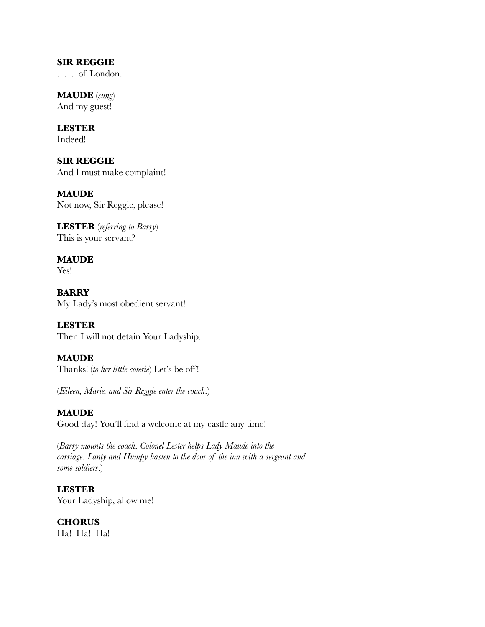#### **SIR REGGIE**

. . . of London.

**MAUDE** (*sung*) And my guest!

**LESTER** Indeed!

**SIR REGGIE** And I must make complaint!

**MAUDE** Not now, Sir Reggie, please!

**LESTER** (*referring to Barry*) This is your servant?

**MAUDE** Yes!

**BARRY** My Lady's most obedient servant!

**LESTER** Then I will not detain Your Ladyship.

**MAUDE** Thanks! (*to her little coterie*) Let's be off!

(*Eileen, Marie, and Sir Reggie enter the coach*.)

**MAUDE** Good day! You'll find a welcome at my castle any time!

(*Barry mounts the coach*. *Colonel Lester helps Lady Maude into the carriage*. *Lanty and Humpy hasten to the door of the inn with a sergeant and some soldiers*.)

**LESTER** Your Ladyship, allow me!

**CHORUS** Ha! Ha! Ha!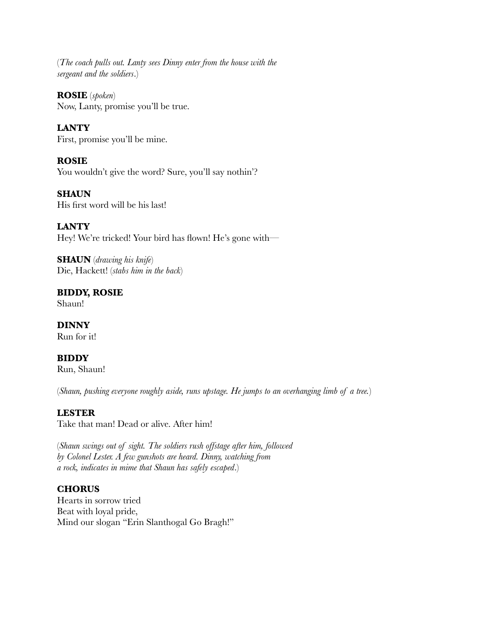(*The coach pulls out. Lanty sees Dinny enter from the house with the sergeant and the soldiers*.)

**ROSIE** (*spoken*) Now, Lanty, promise you'll be true.

**LANTY** First, promise you'll be mine.

**ROSIE** You wouldn't give the word? Sure, you'll say nothin'?

**SHAUN** His first word will be his last!

**LANTY** Hey! We're tricked! Your bird has flown! He's gone with—

**SHAUN** (*drawing his knife*) Die, Hackett! (*stabs him in the back*)

**BIDDY, ROSIE** Shaun!

**DINNY** Run for it!

**BIDDY** Run, Shaun!

(*Shaun, pushing everyone roughly aside, runs upstage. He jumps to an overhanging limb of a tree.*)

### **LESTER**

Take that man! Dead or alive. After him!

(*Shaun swings out of sight. The soldiers rush offstage after him, followed by Colonel Lester. A few gunshots are heard. Dinny, watching from a rock, indicates in mime that Shaun has safely escaped*.)

### **CHORUS**

Hearts in sorrow tried Beat with loyal pride, Mind our slogan "Erin Slanthogal Go Bragh!"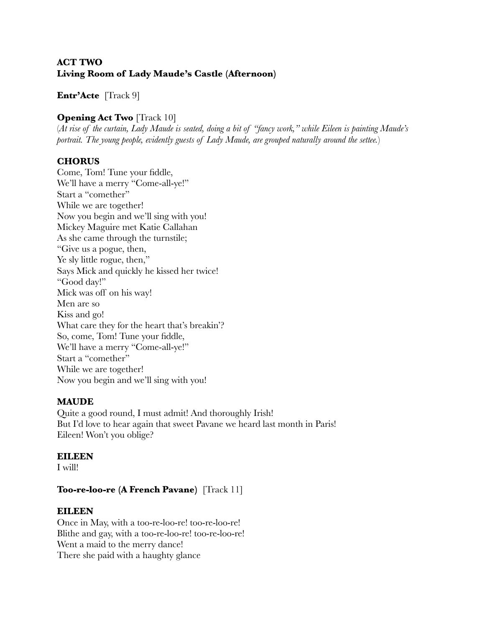### **ACT TWO Living Room of Lady Maude's Castle (Afternoon)**

### **Entr'Acte** [Track 9]

### **Opening Act Two** [Track 10]

(*At rise of the curtain, Lady Maude is seated, doing a bit of "fancy work," while Eileen is painting Maude's portrait. The young people, evidently guests of Lady Maude, are grouped naturally around the settee.*)

### **CHORUS**

Come, Tom! Tune your fiddle, We'll have a merry "Come-all-ye!" Start a "comether" While we are together! Now you begin and we'll sing with you! Mickey Maguire met Katie Callahan As she came through the turnstile; "Give us a pogue, then, Ye sly little rogue, then," Says Mick and quickly he kissed her twice! "Good day!" Mick was off on his way! Men are so Kiss and go! What care they for the heart that's breakin'? So, come, Tom! Tune your fiddle, We'll have a merry "Come-all-ye!" Start a "comether" While we are together! Now you begin and we'll sing with you!

### **MAUDE**

Quite a good round, I must admit! And thoroughly Irish! But I'd love to hear again that sweet Pavane we heard last month in Paris! Eileen! Won't you oblige?

### **EILEEN**

I will!

### **Too-re-loo-re (A French Pavane)** [Track 11]

### **EILEEN**

Once in May, with a too-re-loo-re! too-re-loo-re! Blithe and gay, with a too-re-loo-re! too-re-loo-re! Went a maid to the merry dance! There she paid with a haughty glance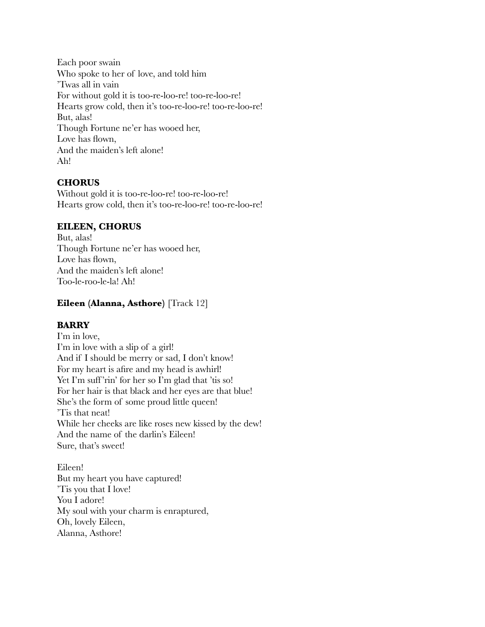Each poor swain Who spoke to her of love, and told him 'Twas all in vain For without gold it is too-re-loo-re! too-re-loo-re! Hearts grow cold, then it's too-re-loo-re! too-re-loo-re! But, alas! Though Fortune ne'er has wooed her, Love has flown, And the maiden's left alone! Ah!

### **CHORUS**

Without gold it is too-re-loo-re! too-re-loo-re! Hearts grow cold, then it's too-re-loo-re! too-re-loo-re!

### **EILEEN, CHORUS**

But, alas! Though Fortune ne'er has wooed her, Love has flown. And the maiden's left alone! Too-le-roo-le-la! Ah!

### **Eileen (Alanna, Asthore)** [Track 12]

### **BARRY**

I'm in love, I'm in love with a slip of a girl! And if I should be merry or sad, I don't know! For my heart is afire and my head is awhirl! Yet I'm suff'rin' for her so I'm glad that 'tis so! For her hair is that black and her eyes are that blue! She's the form of some proud little queen! 'Tis that neat! While her cheeks are like roses new kissed by the dew! And the name of the darlin's Eileen! Sure, that's sweet!

Eileen! But my heart you have captured! 'Tis you that I love! You I adore! My soul with your charm is enraptured, Oh, lovely Eileen, Alanna, Asthore!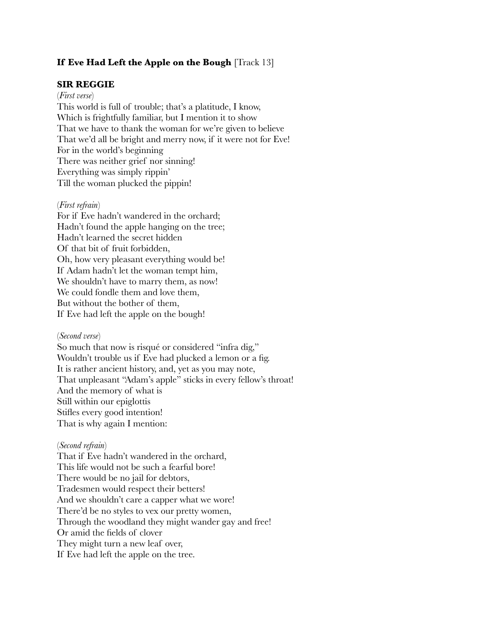### **If Eve Had Left the Apple on the Bough** [Track 13]

#### **SIR REGGIE**

#### (*First verse*)

This world is full of trouble; that's a platitude, I know, Which is frightfully familiar, but I mention it to show That we have to thank the woman for we're given to believe That we'd all be bright and merry now, if it were not for Eve! For in the world's beginning There was neither grief nor sinning! Everything was simply rippin' Till the woman plucked the pippin!

#### (*First refrain*)

For if Eve hadn't wandered in the orchard; Hadn't found the apple hanging on the tree; Hadn't learned the secret hidden Of that bit of fruit forbidden, Oh, how very pleasant everything would be! If Adam hadn't let the woman tempt him, We shouldn't have to marry them, as now! We could fondle them and love them, But without the bother of them, If Eve had left the apple on the bough!

#### (*Second verse*)

So much that now is risqué or considered "infra dig," Wouldn't trouble us if Eve had plucked a lemon or a fig. It is rather ancient history, and, yet as you may note, That unpleasant "Adam's apple" sticks in every fellow's throat! And the memory of what is Still within our epiglottis Stifles every good intention! That is why again I mention:

#### (*Second refrain*)

That if Eve hadn't wandered in the orchard, This life would not be such a fearful bore! There would be no jail for debtors, Tradesmen would respect their betters! And we shouldn't care a capper what we wore! There'd be no styles to vex our pretty women, Through the woodland they might wander gay and free! Or amid the fields of clover They might turn a new leaf over, If Eve had left the apple on the tree.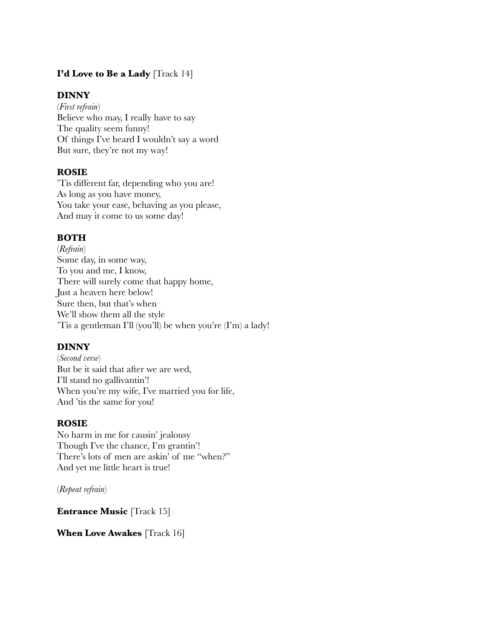### **I'd Love to Be a Lady** [Track 14]

### **DINNY**

(*First refrain*) Believe who may, I really have to say The quality seem funny! Of things I've heard I wouldn't say a word But sure, they're not my way!

### **ROSIE**

'Tis different far, depending who you are! As long as you have money, You take your ease, behaving as you please, And may it come to us some day!

### **BOTH**

(*Refrain*) Some day, in some way, To you and me, I know, There will surely come that happy home, Just a heaven here below! Sure then, but that's when We'll show them all the style 'Tis a gentleman I'll (you'll) be when you're (I'm) a lady!

### **DINNY**

(*Second verse*) But be it said that after we are wed, I'll stand no gallivantin'! When you're my wife, I've married you for life, And 'tis the same for you!

### **ROSIE**

No harm in me for causin' jealousy Though I've the chance, I'm grantin'! There's lots of men are askin' of me "when?" And yet me little heart is true!

(*Repeat refrain*)

**Entrance Music [Track 15]** 

**When Love Awakes** [Track 16]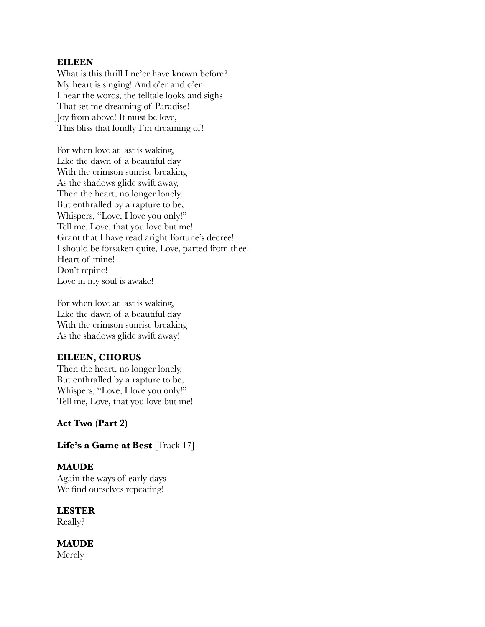#### **EILEEN**

What is this thrill I ne'er have known before? My heart is singing! And o'er and o'er I hear the words, the telltale looks and sighs That set me dreaming of Paradise! Joy from above! It must be love, This bliss that fondly I'm dreaming of!

For when love at last is waking, Like the dawn of a beautiful day With the crimson sunrise breaking As the shadows glide swift away, Then the heart, no longer lonely, But enthralled by a rapture to be, Whispers, "Love, I love you only!" Tell me, Love, that you love but me! Grant that I have read aright Fortune's decree! I should be forsaken quite, Love, parted from thee! Heart of mine! Don't repine! Love in my soul is awake!

For when love at last is waking, Like the dawn of a beautiful day With the crimson sunrise breaking As the shadows glide swift away!

### **EILEEN, CHORUS**

Then the heart, no longer lonely, But enthralled by a rapture to be, Whispers, "Love, I love you only!" Tell me, Love, that you love but me!

**Act Two (Part 2)**

### Life's a Game at Best [Track 17]

### **MAUDE**

Again the ways of early days We find ourselves repeating!

### **LESTER**

Really?

### **MAUDE**

Merely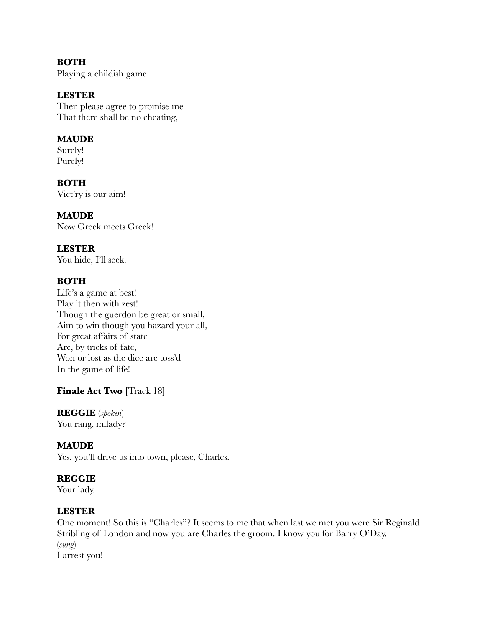# **BOTH**

Playing a childish game!

### **LESTER**

Then please agree to promise me That there shall be no cheating,

### **MAUDE**

Surely! Purely!

**BOTH** Vict'ry is our aim!

### **MAUDE**

Now Greek meets Greek!

### **LESTER**

You hide, I'll seek.

### **BOTH**

Life's a game at best! Play it then with zest! Though the guerdon be great or small, Aim to win though you hazard your all, For great affairs of state Are, by tricks of fate, Won or lost as the dice are toss'd In the game of life!

### **Finale Act Two** [Track 18]

# **REGGIE** (*spoken*)

You rang, milady?

### **MAUDE**

Yes, you'll drive us into town, please, Charles.

### **REGGIE**

Your lady.

### **LESTER**

One moment! So this is "Charles"? It seems to me that when last we met you were Sir Reginald Stribling of London and now you are Charles the groom. I know you for Barry O'Day. (*sung*) I arrest you!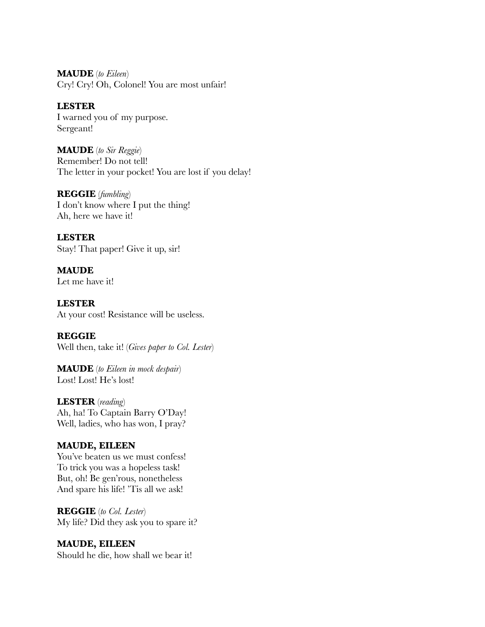**MAUDE** (*to Eileen*) Cry! Cry! Oh, Colonel! You are most unfair!

### **LESTER**

I warned you of my purpose. Sergeant!

**MAUDE** (*to Sir Reggie*) Remember! Do not tell! The letter in your pocket! You are lost if you delay!

**REGGIE** (*fumbling*) I don't know where I put the thing! Ah, here we have it!

**LESTER** Stay! That paper! Give it up, sir!

**MAUDE** Let me have it!

**LESTER** At your cost! Resistance will be useless.

**REGGIE** Well then, take it! (*Gives paper to Col. Lester*)

**MAUDE** (*to Eileen in mock despair*) Lost! Lost! He's lost!

**LESTER** (*reading*) Ah, ha! To Captain Barry O'Day! Well, ladies, who has won, I pray?

### **MAUDE, EILEEN**

You've beaten us we must confess! To trick you was a hopeless task! But, oh! Be gen'rous, nonetheless And spare his life! 'Tis all we ask!

**REGGIE** (*to Col. Lester*) My life? Did they ask you to spare it?

**MAUDE, EILEEN** Should he die, how shall we bear it!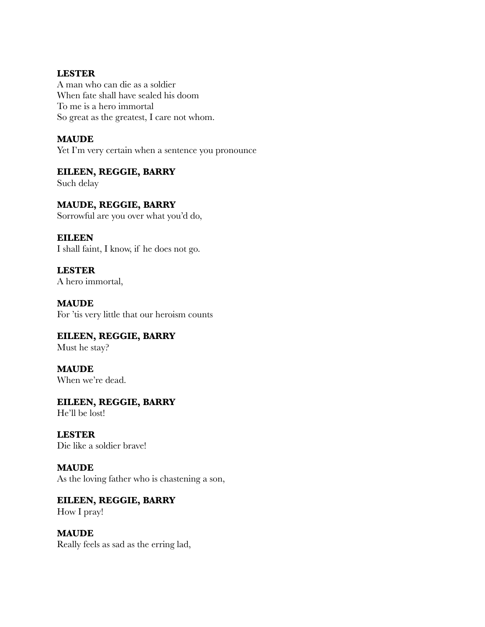### **LESTER**

A man who can die as a soldier When fate shall have sealed his doom To me is a hero immortal So great as the greatest, I care not whom.

### **MAUDE**

Yet I'm very certain when a sentence you pronounce

### **EILEEN, REGGIE, BARRY**

Such delay

### **MAUDE, REGGIE, BARRY**

Sorrowful are you over what you'd do,

### **EILEEN**

I shall faint, I know, if he does not go.

**LESTER** A hero immortal,

**MAUDE** For 'tis very little that our heroism counts

# **EILEEN, REGGIE, BARRY**

Must he stay?

#### **MAUDE** When we're dead.

### **EILEEN, REGGIE, BARRY** He'll be lost!

**LESTER** Die like a soldier brave!

### **MAUDE** As the loving father who is chastening a son,

### **EILEEN, REGGIE, BARRY** How I pray!

#### **MAUDE** Really feels as sad as the erring lad,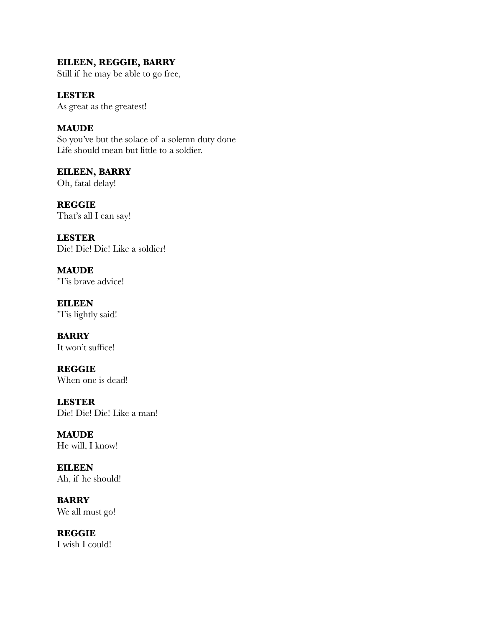### **EILEEN, REGGIE, BARRY**

Still if he may be able to go free,

**LESTER** As great as the greatest!

**MAUDE** So you've but the solace of a solemn duty done Life should mean but little to a soldier.

**EILEEN, BARRY** Oh, fatal delay!

**REGGIE** That's all I can say!

**LESTER** Die! Die! Die! Like a soldier!

**MAUDE** 'Tis brave advice!

**EILEEN** 'Tis lightly said!

**BARRY** It won't suffice!

**REGGIE** When one is dead!

**LESTER** Die! Die! Die! Like a man!

**MAUDE** He will, I know!

**EILEEN** Ah, if he should!

**BARRY** We all must go!

**REGGIE** I wish I could!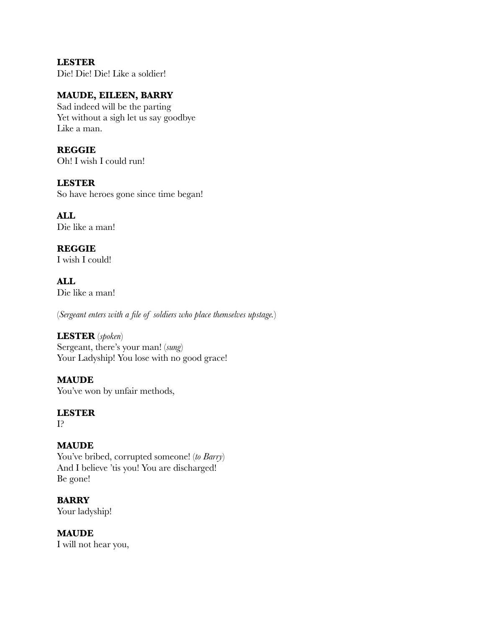**LESTER** Die! Die! Die! Like a soldier!

### **MAUDE, EILEEN, BARRY**

Sad indeed will be the parting Yet without a sigh let us say goodbye Like a man.

### **REGGIE**

Oh! I wish I could run!

### **LESTER**

So have heroes gone since time began!

**ALL** Die like a man!

### **REGGIE**

I wish I could!

**ALL** Die like a man!

(*Sergeant enters with a file of soldiers who place themselves upstage.*)

### **LESTER** (*spoken*)

Sergeant, there's your man! (*sung*) Your Ladyship! You lose with no good grace!

### **MAUDE**

You've won by unfair methods,

### **LESTER**

I?

### **MAUDE**

You've bribed, corrupted someone! (*to Barry*) And I believe 'tis you! You are discharged! Be gone!

### **BARRY**

Your ladyship!

### **MAUDE**

I will not hear you,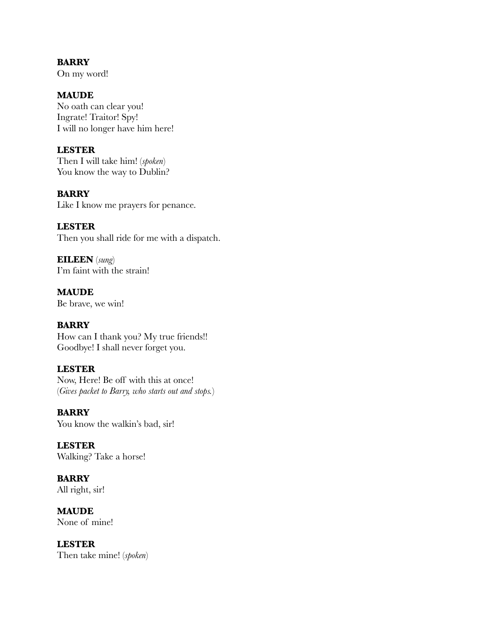**BARRY** On my word!

**MAUDE**

No oath can clear you! Ingrate! Traitor! Spy! I will no longer have him here!

#### **LESTER**

Then I will take him! (*spoken*) You know the way to Dublin?

### **BARRY**

Like I know me prayers for penance.

### **LESTER**

Then you shall ride for me with a dispatch.

**EILEEN** (*sung*) I'm faint with the strain!

**MAUDE** Be brave, we win!

### **BARRY**

How can I thank you? My true friends!! Goodbye! I shall never forget you.

#### **LESTER**

Now, Here! Be off with this at once! (*Gives packet to Barry, who starts out and stops.*)

#### **BARRY**

You know the walkin's bad, sir!

**LESTER** Walking? Take a horse!

**BARRY** All right, sir!

**MAUDE** None of mine!

**LESTER** Then take mine! (*spoken*)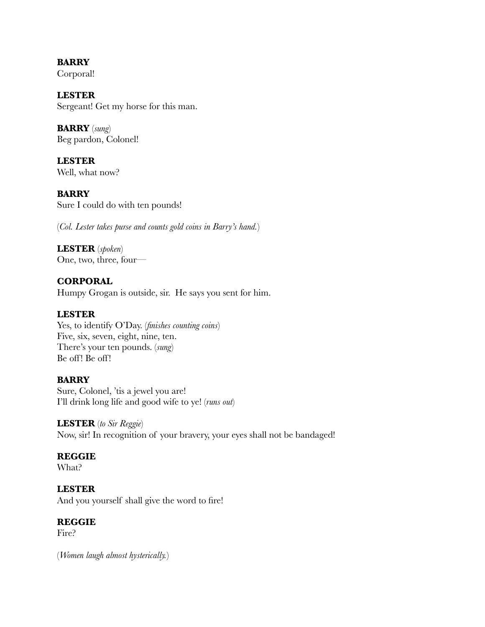**BARRY** Corporal!

**LESTER** Sergeant! Get my horse for this man.

**BARRY** (*sung*) Beg pardon, Colonel!

**LESTER** Well, what now?

**BARRY** Sure I could do with ten pounds!

(*Col. Lester takes purse and counts gold coins in Barry's hand.*)

**LESTER** (*spoken*) One, two, three, four—

**CORPORAL** Humpy Grogan is outside, sir. He says you sent for him.

### **LESTER**

Yes, to identify O'Day. (*finishes counting coins*) Five, six, seven, eight, nine, ten. There's your ten pounds. (*sung*) Be off! Be off!

### **BARRY**

Sure, Colonel, 'tis a jewel you are! I'll drink long life and good wife to ye! (*runs out*)

### **LESTER** (*to Sir Reggie*)

Now, sir! In recognition of your bravery, your eyes shall not be bandaged!

### **REGGIE**

What?

### **LESTER**

And you yourself shall give the word to fire!

### **REGGIE**

Fire?

(*Women laugh almost hysterically.*)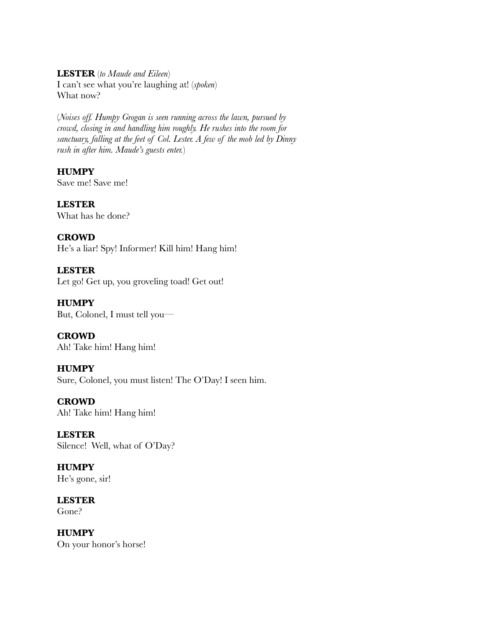**LESTER** (*to Maude and Eileen*)

I can't see what you're laughing at! (*spoken*) What now?

(*Noises off. Humpy Grogan is seen running across the lawn, pursued by crowd, closing in and handling him roughly. He rushes into the room for sanctuary, falling at the feet of Col. Lester. A few of the mob led by Dinny rush in after him. Maude's guests enter.*)

# **HUMPY**

Save me! Save me!

**LESTER** What has he done?

### **CROWD**

He's a liar! Spy! Informer! Kill him! Hang him!

### **LESTER**

Let go! Get up, you groveling toad! Get out!

**HUMPY** But, Colonel, I must tell you—

**CROWD** Ah! Take him! Hang him!

### **HUMPY**

Sure, Colonel, you must listen! The O'Day! I seen him.

# **CROWD**

Ah! Take him! Hang him!

### **LESTER** Silence! Well, what of O'Day?

**HUMPY** He's gone, sir!

**LESTER** Gone?

**HUMPY** On your honor's horse!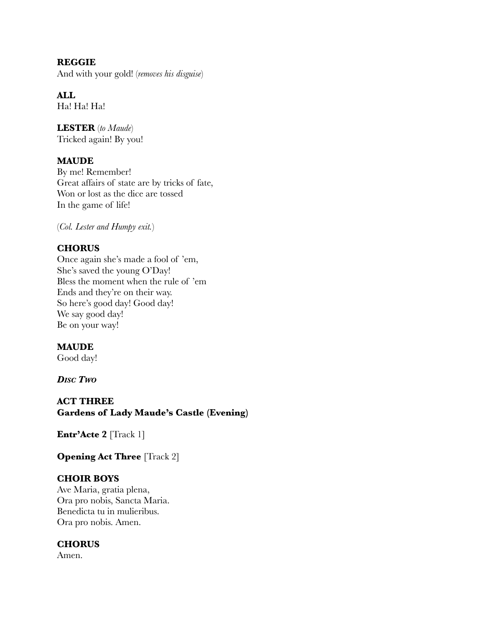**REGGIE** And with your gold! (*removes his disguise*)

**ALL** Ha! Ha! Ha!

**LESTER** (*to Maude*) Tricked again! By you!

### **MAUDE**

By me! Remember! Great affairs of state are by tricks of fate, Won or lost as the dice are tossed In the game of life!

(*Col. Lester and Humpy exit.*)

### **CHORUS**

Once again she's made a fool of 'em, She's saved the young O'Day! Bless the moment when the rule of 'em Ends and they're on their way. So here's good day! Good day! We say good day! Be on your way!

### **MAUDE**

Good day!

*DISC TWO*

**ACT THREE Gardens of Lady Maude's Castle (Evening)**

**Entr'Acte 2** [Track 1]

**Opening Act Three** [Track 2]

### **CHOIR BOYS**

Ave Maria, gratia plena, Ora pro nobis, Sancta Maria. Benedicta tu in mulieribus. Ora pro nobis. Amen.

### **CHORUS**

Amen.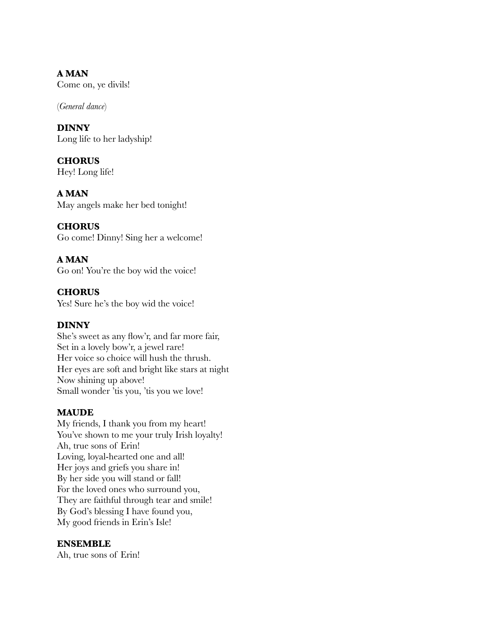**A MAN** Come on, ye divils!

(*General dance*)

**DINNY** Long life to her ladyship!

**CHORUS** Hey! Long life!

**A MAN** May angels make her bed tonight!

**CHORUS** Go come! Dinny! Sing her a welcome!

**A MAN** Go on! You're the boy wid the voice!

**CHORUS** Yes! Sure he's the boy wid the voice!

### **DINNY**

She's sweet as any flow'r, and far more fair, Set in a lovely bow'r, a jewel rare! Her voice so choice will hush the thrush. Her eyes are soft and bright like stars at night Now shining up above! Small wonder 'tis you, 'tis you we love!

### **MAUDE**

My friends, I thank you from my heart! You've shown to me your truly Irish loyalty! Ah, true sons of Erin! Loving, loyal-hearted one and all! Her joys and griefs you share in! By her side you will stand or fall! For the loved ones who surround you, They are faithful through tear and smile! By God's blessing I have found you, My good friends in Erin's Isle!

### **ENSEMBLE**

Ah, true sons of Erin!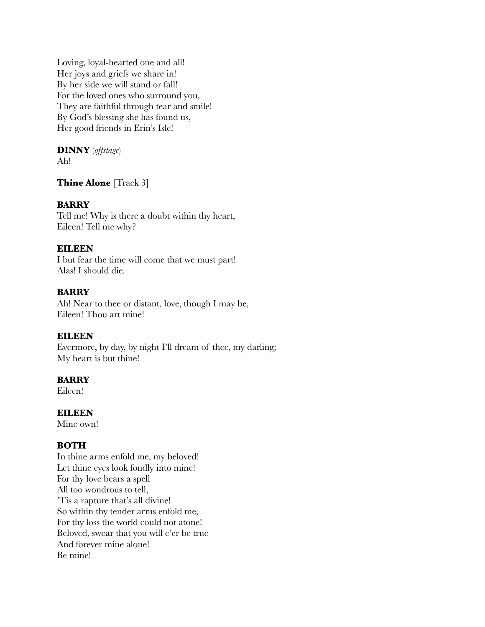Loving, loyal-hearted one and all! Her joys and griefs we share in! By her side we will stand or fall! For the loved ones who surround you, They are faithful through tear and smile! By God's blessing she has found us, Her good friends in Erin's Isle!

### **DINNY** (*offstage*)

Ah!

### **Thine Alone** [Track 3]

### **BARRY**

Tell me! Why is there a doubt within thy heart, Eileen! Tell me why?

### **EILEEN**

I but fear the time will come that we must part! Alas! I should die.

### **BARRY**

Ah! Near to thee or distant, love, though I may be, Eileen! Thou art mine!

### **EILEEN**

Evermore, by day, by night I'll dream of thee, my darling; My heart is but thine!

### **BARRY**

Eileen!

**EILEEN**

Mine own!

### **BOTH**

In thine arms enfold me, my beloved! Let thine eyes look fondly into mine! For thy love bears a spell All too wondrous to tell, 'Tis a rapture that's all divine! So within thy tender arms enfold me, For thy loss the world could not atone! Beloved, swear that you will e'er be true And forever mine alone! Be mine!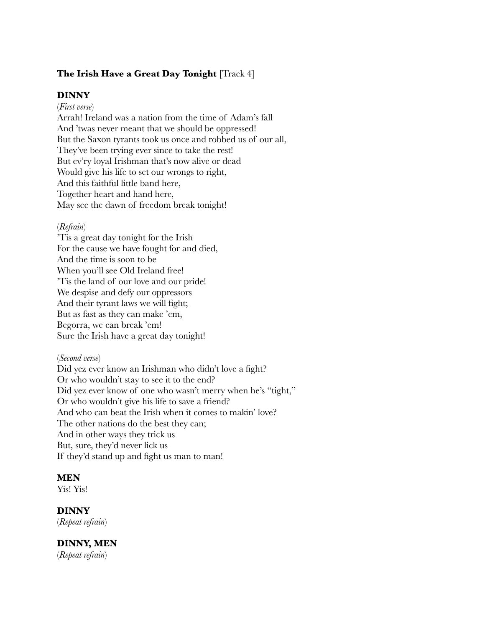### **The Irish Have a Great Day Tonight** [Track 4]

#### **DINNY**

(*First verse*)

Arrah! Ireland was a nation from the time of Adam's fall And 'twas never meant that we should be oppressed! But the Saxon tyrants took us once and robbed us of our all, They've been trying ever since to take the rest! But ev'ry loyal Irishman that's now alive or dead Would give his life to set our wrongs to right, And this faithful little band here, Together heart and hand here, May see the dawn of freedom break tonight!

#### (*Refrain*)

'Tis a great day tonight for the Irish For the cause we have fought for and died, And the time is soon to be When you'll see Old Ireland free! 'Tis the land of our love and our pride! We despise and defy our oppressors And their tyrant laws we will fight; But as fast as they can make 'em, Begorra, we can break 'em! Sure the Irish have a great day tonight!

#### (*Second verse*)

Did yez ever know an Irishman who didn't love a fight? Or who wouldn't stay to see it to the end? Did yez ever know of one who wasn't merry when he's "tight," Or who wouldn't give his life to save a friend? And who can beat the Irish when it comes to makin' love? The other nations do the best they can; And in other ways they trick us But, sure, they'd never lick us If they'd stand up and fight us man to man!

#### **MEN**

Yis! Yis!

#### **DINNY**

(*Repeat refrain*)

### **DINNY, MEN**

(*Repeat refrain*)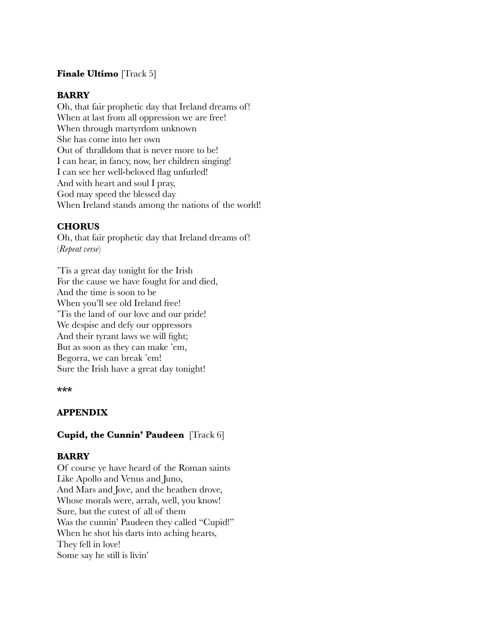### **Finale Ultimo** [Track 5]

#### **BARRY**

Oh, that fair prophetic day that Ireland dreams of! When at last from all oppression we are free! When through martyrdom unknown She has come into her own Out of thralldom that is never more to be! I can hear, in fancy, now, her children singing! I can see her well-beloved flag unfurled! And with heart and soul I pray, God may speed the blessed day When Ireland stands among the nations of the world!

### **CHORUS**

Oh, that fair prophetic day that Ireland dreams of! (*Repeat verse*)

'Tis a great day tonight for the Irish For the cause we have fought for and died, And the time is soon to be When you'll see old Ireland free! 'Tis the land of our love and our pride! We despise and defy our oppressors And their tyrant laws we will fight; But as soon as they can make 'em, Begorra, we can break 'em! Sure the Irish have a great day tonight!

#### **\*\*\***

### **APPENDIX**

### **Cupid, the Cunnin' Paudeen** [Track 6]

### **BARRY**

Of course ye have heard of the Roman saints Like Apollo and Venus and Juno, And Mars and Jove, and the heathen drove, Whose morals were, arrah, well, you know! Sure, but the cutest of all of them Was the cunnin' Paudeen they called "Cupid!" When he shot his darts into aching hearts, They fell in love! Some say he still is livin'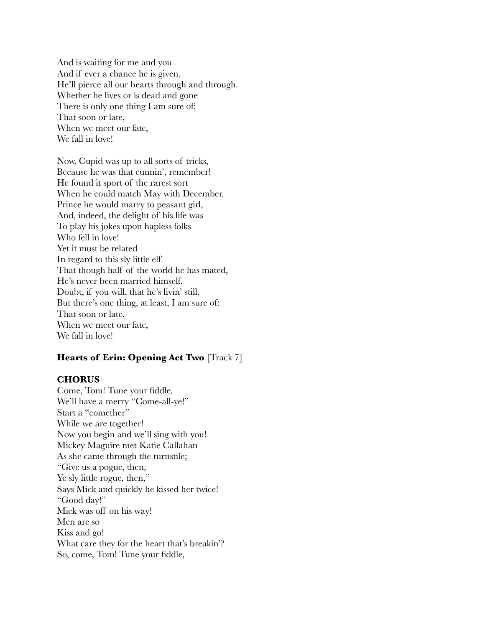And is waiting for me and you And if ever a chance he is given, He'll pierce all our hearts through and through. Whether he lives or is dead and gone There is only one thing I am sure of: That soon or late, When we meet our fate, We fall in love!

Now, Cupid was up to all sorts of tricks, Because he was that cunnin', remember! He found it sport of the rarest sort When he could match May with December. Prince he would marry to peasant girl, And, indeed, the delight of his life was To play his jokes upon hapless folks Who fell in love! Yet it must be related In regard to this sly little elf That though half of the world he has mated, He's never been married himself. Doubt, if you will, that he's livin' still, But there's one thing, at least, I am sure of: That soon or late, When we meet our fate, We fall in love!

### **Hearts of Erin: Opening Act Two** [Track 7]

#### **CHORUS**

Come, Tom! Tune your fiddle, We'll have a merry "Come-all-ye!" Start a "comether" While we are together! Now you begin and we'll sing with you! Mickey Maguire met Katie Callahan As she came through the turnstile; "Give us a pogue, then, Ye sly little rogue, then," Says Mick and quickly he kissed her twice! "Good day!" Mick was off on his way! Men are so Kiss and go! What care they for the heart that's breakin'? So, come, Tom! Tune your fiddle,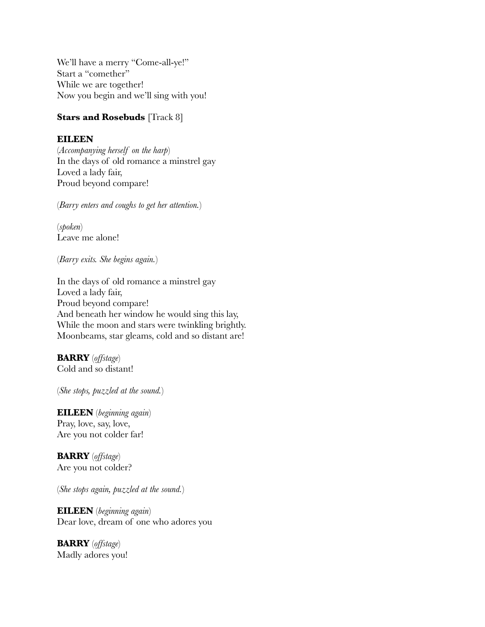We'll have a merry "Come-all-ye!" Start a "comether" While we are together! Now you begin and we'll sing with you!

### **Stars and Rosebuds** [Track 8]

### **EILEEN**

(*Accompanying herself on the harp*) In the days of old romance a minstrel gay Loved a lady fair, Proud beyond compare!

(*Barry enters and coughs to get her attention.*)

(*spoken*) Leave me alone!

(*Barry exits. She begins again.*)

In the days of old romance a minstrel gay Loved a lady fair, Proud beyond compare! And beneath her window he would sing this lay, While the moon and stars were twinkling brightly. Moonbeams, star gleams, cold and so distant are!

**BARRY** (*offstage*) Cold and so distant!

(*She stops, puzzled at the sound.*)

**EILEEN** (*beginning again*) Pray, love, say, love, Are you not colder far!

**BARRY** (*offstage*) Are you not colder?

(*She stops again, puzzled at the sound.*)

**EILEEN** (*beginning again*) Dear love, dream of one who adores you

**BARRY** (*offstage*) Madly adores you!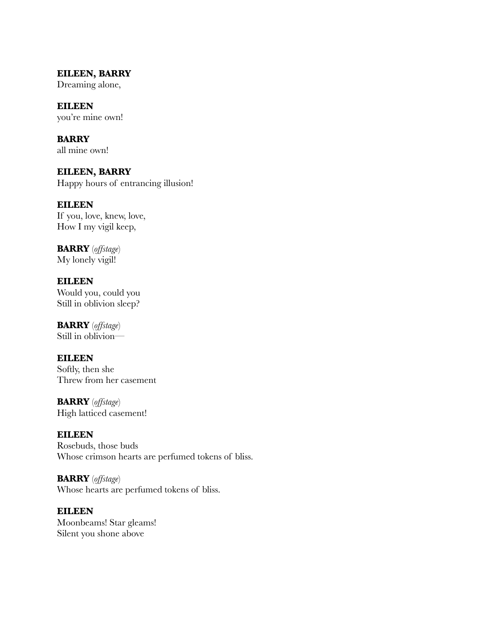**EILEEN, BARRY** Dreaming alone,

**EILEEN** you're mine own!

**BARRY** all mine own!

**EILEEN, BARRY** Happy hours of entrancing illusion!

**EILEEN** If you, love, knew, love, How I my vigil keep,

**BARRY** (*offstage*) My lonely vigil!

**EILEEN** Would you, could you Still in oblivion sleep?

**BARRY** (*offstage*) Still in oblivion—

#### **EILEEN** Softly, then she Threw from her casement

**BARRY** (*offstage*) High latticed casement!

**EILEEN**

Rosebuds, those buds Whose crimson hearts are perfumed tokens of bliss.

**BARRY** (*offstage*) Whose hearts are perfumed tokens of bliss.

**EILEEN** Moonbeams! Star gleams! Silent you shone above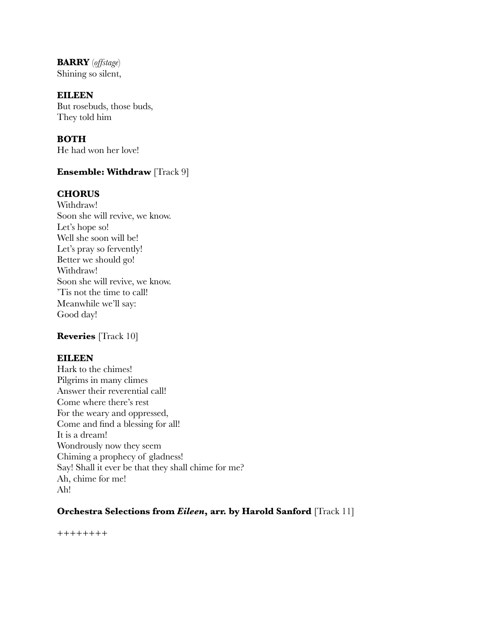**BARRY** (*offstage*) Shining so silent,

**EILEEN**

But rosebuds, those buds, They told him

**BOTH** He had won her love!

### **Ensemble: Withdraw** [Track 9]

#### **CHORUS**

Withdraw! Soon she will revive, we know. Let's hope so! Well she soon will be! Let's pray so fervently! Better we should go! Withdraw! Soon she will revive, we know. 'Tis not the time to call! Meanwhile we'll say: Good day!

### **Reveries** [Track 10]

#### **EILEEN**

Hark to the chimes! Pilgrims in many climes Answer their reverential call! Come where there's rest For the weary and oppressed, Come and find a blessing for all! It is a dream! Wondrously now they seem Chiming a prophecy of gladness! Say! Shall it ever be that they shall chime for me? Ah, chime for me! Ah!

### **Orchestra Selections from** *Eileen***, arr. by Harold Sanford** [Track 11]

++++++++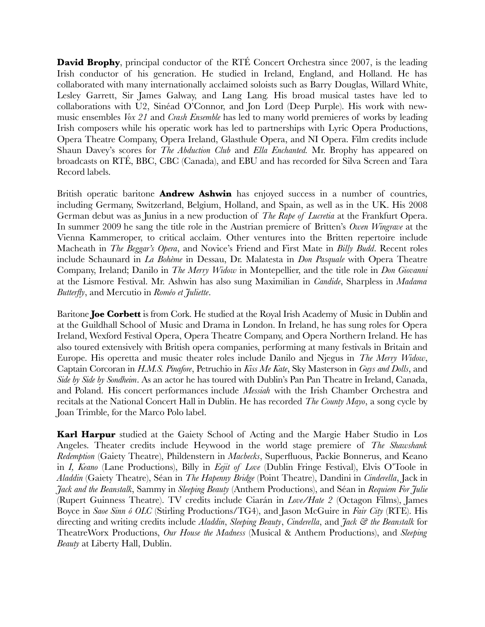**David Brophy**, principal conductor of the RTÉ Concert Orchestra since 2007, is the leading Irish conductor of his generation. He studied in Ireland, England, and Holland. He has collaborated with many internationally acclaimed soloists such as Barry Douglas, Willard White, Lesley Garrett, Sir James Galway, and Lang Lang. His broad musical tastes have led to collaborations with U2, Sinéad O'Connor, and Jon Lord (Deep Purple). His work with newmusic ensembles *Vox 21* and *Crash Ensemble* has led to many world premieres of works by leading Irish composers while his operatic work has led to partnerships with Lyric Opera Productions, Opera Theatre Company, Opera Ireland, Glasthule Opera, and NI Opera. Film credits include Shaun Davey's scores for *The Abduction Club* and *Ella Enchanted.* Mr. Brophy has appeared on broadcasts on RTÉ, BBC, CBC (Canada), and EBU and has recorded for Silva Screen and Tara Record labels.

British operatic baritone **Andrew Ashwin** has enjoyed success in a number of countries, including Germany, Switzerland, Belgium, Holland, and Spain, as well as in the UK. His 2008 German debut was as Junius in a new production of *The Rape of Lucretia* at the Frankfurt Opera. In summer 2009 he sang the title role in the Austrian premiere of Britten's *Owen Wingrave* at the Vienna Kammeroper, to critical acclaim. Other ventures into the Britten repertoire include Macheath in *The Beggar's Opera*, and Novice's Friend and First Mate in *Billy Budd*. Recent roles include Schaunard in *La Bohème* in Dessau, Dr. Malatesta in *Don Pasquale* with Opera Theatre Company, Ireland; Danilo in *The Merry Widow* in Montepellier, and the title role in *Don Giovanni* at the Lismore Festival. Mr. Ashwin has also sung Maximilian in *Candide*, Sharpless in *Madama Butterfly*, and Mercutio in *Roméo et Juliette*.

Baritone **Joe Corbett** is from Cork. He studied at the Royal Irish Academy of Music in Dublin and at the Guildhall School of Music and Drama in London. In Ireland, he has sung roles for Opera Ireland, Wexford Festival Opera, Opera Theatre Company, and Opera Northern Ireland. He has also toured extensively with British opera companies, performing at many festivals in Britain and Europe. His operetta and music theater roles include Danilo and Njegus in *The Merry Widow*, Captain Corcoran in *H.M.S. Pinafore*, Petruchio in *Kiss Me Kate*, Sky Masterson in *Guys and Dolls*, and *Side by Side by Sondheim*. As an actor he has toured with Dublin's Pan Pan Theatre in Ireland, Canada, and Poland. His concert performances include *Messiah* with the Irish Chamber Orchestra and recitals at the National Concert Hall in Dublin. He has recorded *The County Mayo*, a song cycle by Joan Trimble, for the Marco Polo label.

**Karl Harpur** studied at the Gaiety School of Acting and the Margie Haber Studio in Los Angeles. Theater credits include Heywood in the world stage premiere of *The Shawshank Redemption* (Gaiety Theatre), Phildenstern in *Macbecks*, Superfluous, Packie Bonnerus, and Keano in *I, Keano* (Lane Productions), Billy in *Eejit of Love* (Dublin Fringe Festival), Elvis O'Toole in *Aladdin* (Gaiety Theatre), Séan in *The Hapenny Bridge* (Point Theatre), Dandini in *Cinderella*, Jack in *Jack and the Beanstalk*, Sammy in *Sleeping Beauty* (Anthem Productions), and Séan in *Requiem For Julie* (Rupert Guinness Theatre). TV credits include Ciarán in *Love/Hate 2* (Octagon Films), James Boyce in *Saoe Sinn ó OLC* (Stirling Productions/TG4), and Jason McGuire in *Fair City* (RTE). His directing and writing credits include *Aladdin*, *Sleeping Beauty*, *Cinderella*, and *Jack & the Beanstalk* for TheatreWorx Productions, *Our House the Madness* (Musical & Anthem Productions), and *Sleeping Beauty* at Liberty Hall, Dublin.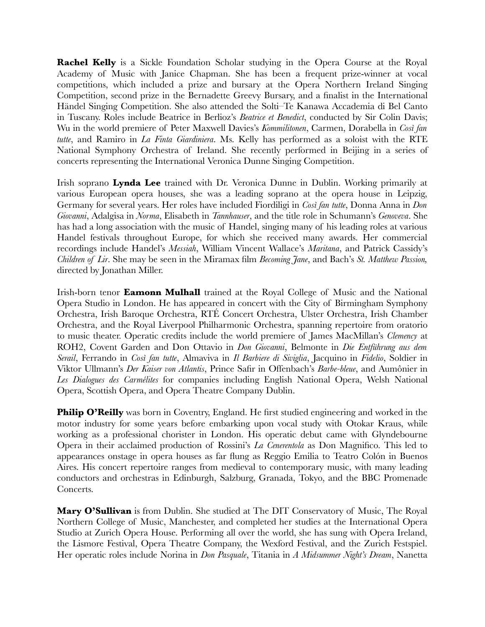**Rachel Kelly** is a Sickle Foundation Scholar studying in the Opera Course at the Royal Academy of Music with Janice Chapman. She has been a frequent prize-winner at vocal competitions, which included a prize and bursary at the Opera Northern Ireland Singing Competition, second prize in the Bernadette Greevy Bursary, and a finalist in the International Händel Singing Competition. She also attended the Solti–Te Kanawa Accademia di Bel Canto in Tuscany. Roles include Beatrice in Berlioz's *Beatrice et Benedict*, conducted by Sir Colin Davis; Wu in the world premiere of Peter Maxwell Davies's *Kommilitonen*, Carmen, Dorabella in *Così fan tutte*, and Ramiro in *La Finta Giardiniera*. Ms. Kelly has performed as a soloist with the RTE National Symphony Orchestra of Ireland. She recently performed in Beijing in a series of concerts representing the International Veronica Dunne Singing Competition.

Irish soprano **Lynda Lee** trained with Dr. Veronica Dunne in Dublin. Working primarily at various European opera houses, she was a leading soprano at the opera house in Leipzig, Germany for several years. Her roles have included Fiordiligi in *Così fan tutte*, Donna Anna in *Don Giovanni*, Adalgisa in *Norma*, Elisabeth in *Tannhauser*, and the title role in Schumann's *Genoveva*. She has had a long association with the music of Handel, singing many of his leading roles at various Handel festivals throughout Europe, for which she received many awards. Her commercial recordings include Handel's *Messiah*, William Vincent Wallace's *Maritana*, and Patrick Cassidy's *Children of Lir*. She may be seen in the Miramax film *Becoming Jane*, and Bach's *St. Matthew Passion,* directed by Jonathan Miller.

Irish-born tenor **Eamonn Mulhall** trained at the Royal College of Music and the National Opera Studio in London. He has appeared in concert with the City of Birmingham Symphony Orchestra, Irish Baroque Orchestra, RTÉ Concert Orchestra, Ulster Orchestra, Irish Chamber Orchestra, and the Royal Liverpool Philharmonic Orchestra, spanning repertoire from oratorio to music theater. Operatic credits include the world premiere of James MacMillan's *Clemency* at ROH2, Covent Garden and Don Ottavio in *Don Giovanni*, Belmonte in *Die Entführung aus dem Serail*, Ferrando in *Così fan tutte*, Almaviva in *Il Barbiere di Siviglia*, Jacquino in *Fidelio*, Soldier in Viktor Ullmann's *Der Kaiser von Atlantis*, Prince Safir in Offenbach's *Barbe-bleue*, and Aumônier in *Les Dialogues des Carmélites* for companies including English National Opera, Welsh National Opera, Scottish Opera, and Opera Theatre Company Dublin.

**Philip O'Reilly** was born in Coventry, England. He first studied engineering and worked in the motor industry for some years before embarking upon vocal study with Otokar Kraus, while working as a professional chorister in London. His operatic debut came with Glyndebourne Opera in their acclaimed production of Rossini's *La Cenerentola* as Don Magnifico. This led to appearances onstage in opera houses as far flung as Reggio Emilia to Teatro Colón in Buenos Aires. His concert repertoire ranges from medieval to contemporary music, with many leading conductors and orchestras in Edinburgh, Salzburg, Granada, Tokyo, and the BBC Promenade Concerts.

**Mary O'Sullivan** is from Dublin. She studied at The DIT Conservatory of Music, The Royal Northern College of Music, Manchester, and completed her studies at the International Opera Studio at Zurich Opera House. Performing all over the world, she has sung with Opera Ireland, the Lismore Festival, Opera Theatre Company, the Wexford Festival, and the Zurich Festspiel. Her operatic roles include Norina in *Don Pasquale*, Titania in *A Midsummer Night's Dream*, Nanetta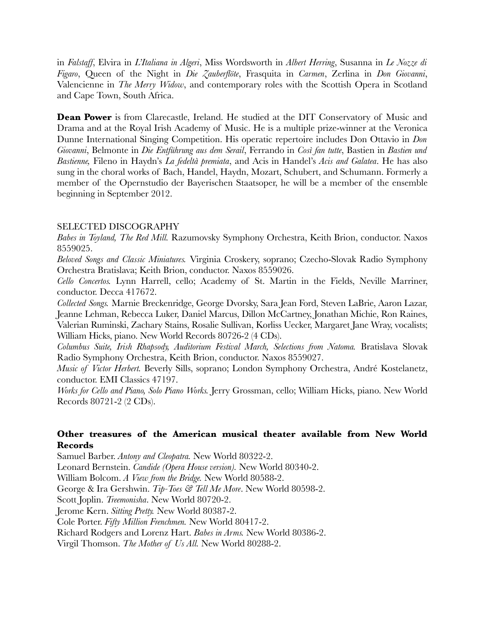in *Falstaff*, Elvira in *L'Italiana in Algeri*, Miss Wordsworth in *Albert Herring*, Susanna in *Le Nozze di Figaro*, Queen of the Night in *Die Zauberflöte*, Frasquita in *Carmen*, Zerlina in *Don Giovanni*, Valencienne in *The Merry Widow*, and contemporary roles with the Scottish Opera in Scotland and Cape Town, South Africa.

**Dean Power** is from Clarecastle, Ireland. He studied at the DIT Conservatory of Music and Drama and at the Royal Irish Academy of Music. He is a multiple prize-winner at the Veronica Dunne International Singing Competition. His operatic repertoire includes Don Ottavio in *Don Giovanni*, Belmonte in *Die Entführung aus dem Serail*, Ferrando in *Così fan tutte*, Bastien in *Bastien und Bastienne,* Fileno in Haydn's *La fedeltà premiata*, and Acis in Handel's *Acis and Galatea*. He has also sung in the choral works of Bach, Handel, Haydn, Mozart, Schubert, and Schumann. Formerly a member of the Opernstudio der Bayerischen Staatsoper, he will be a member of the ensemble beginning in September 2012.

### SELECTED DISCOGRAPHY

*Babes in Toyland, The Red Mill.* Razumovsky Symphony Orchestra, Keith Brion, conductor. Naxos 8559025.

*Beloved Songs and Classic Miniatures.* Virginia Croskery, soprano; Czecho-Slovak Radio Symphony Orchestra Bratislava; Keith Brion, conductor. Naxos 8559026.

*Cello Concertos.* Lynn Harrell, cello; Academy of St. Martin in the Fields, Neville Marriner, conductor. Decca 417672.

*Collected Songs.* Marnie Breckenridge, George Dvorsky, Sara Jean Ford, Steven LaBrie, Aaron Lazar, Jeanne Lehman, Rebecca Luker, Daniel Marcus, Dillon McCartney, Jonathan Michie, Ron Raines, Valerian Ruminski, Zachary Stains, Rosalie Sullivan, Korliss Uecker, Margaret Jane Wray, vocalists; William Hicks, piano. New World Records 80726-2 (4 CDs).

*Columbus Suite, Irish Rhapsody, Auditorium Festival March, Selections from Natoma.* Bratislava Slovak Radio Symphony Orchestra, Keith Brion, conductor. Naxos 8559027.

*Music of Victor Herbert.* Beverly Sills, soprano; London Symphony Orchestra, André Kostelanetz, conductor. EMI Classics 47197.

*Works for Cello and Piano, Solo Piano Works.* Jerry Grossman, cello; William Hicks, piano. New World Records 80721-2 (2 CDs).

### **Other treasures of the American musical theater available from New World Records**

Samuel Barber. *Antony and Cleopatra.* New World 80322-2.

Leonard Bernstein. *Candide (Opera House version).* New World 80340-2.

William Bolcom. *A View from the Bridge.* New World 80588-2.

George & Ira Gershwin. *Tip-Toes & Tell Me More*. New World 80598-2.

Scott Joplin. *Treemonisha*. New World 80720-2.

Jerome Kern. *Sitting Pretty.* New World 80387-2.

Cole Porter. *Fifty Million Frenchmen.* New World 80417-2.

Richard Rodgers and Lorenz Hart. *Babes in Arms.* New World 80386-2.

Virgil Thomson. *The Mother of Us All.* New World 80288-2.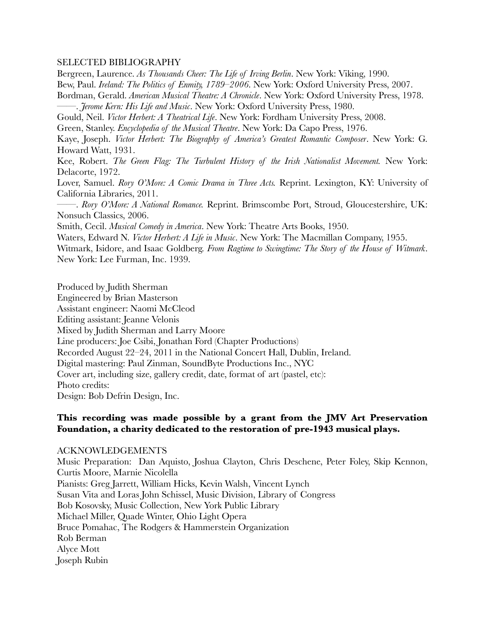#### SELECTED BIBLIOGRAPHY

Bergreen, Laurence. *As Thousands Cheer: The Life of Irving Berlin*. New York: Viking, 1990.

Bew, Paul. *Ireland: The Politics of Enmity, 1789–2006*. New York: Oxford University Press, 2007.

Bordman, Gerald. *American Musical Theatre: A Chronicle*. New York: Oxford University Press, 1978. ——. *Jerome Kern: His Life and Music*. New York: Oxford University Press, 1980.

Gould, Neil. *Victor Herbert: A Theatrical Life*. New York: Fordham University Press, 2008.

Green, Stanley. *Encyclopedia of the Musical Theatre*. New York: Da Capo Press, 1976.

Kaye, Joseph. *Victor Herbert: The Biography of America's Greatest Romantic Composer*. New York: G. Howard Watt, 1931.

Kee, Robert. *The Green Flag: The Turbulent History of the Irish Nationalist Movement.* New York: Delacorte, 1972.

Lover, Samuel. *Rory O'More: A Comic Drama in Three Acts.* Reprint. Lexington, KY: University of California Libraries, 2011.

——. *Rory O'More: A National Romance.* Reprint. Brimscombe Port, Stroud, Gloucestershire, UK: Nonsuch Classics, 2006.

Smith, Cecil. *Musical Comedy in America*. New York: Theatre Arts Books, 1950.

Waters, Edward N. *Victor Herbert: A Life in Music*. New York: The Macmillan Company, 1955.

Witmark, Isidore, and Isaac Goldberg. *From Ragtime to Swingtime: The Story of the House of Witmark*. New York: Lee Furman, Inc. 1939.

Produced by Judith Sherman Engineered by Brian Masterson Assistant engineer: Naomi McCleod Editing assistant: Jeanne Velonis Mixed by Judith Sherman and Larry Moore Line producers: Joe Csibi, Jonathan Ford (Chapter Productions) Recorded August 22–24, 2011 in the National Concert Hall, Dublin, Ireland. Digital mastering: Paul Zinman, SoundByte Productions Inc., NYC Cover art, including size, gallery credit, date, format of art (pastel, etc): Photo credits: Design: Bob Defrin Design, Inc.

### **This recording was made possible by a grant from the JMV Art Preservation Foundation, a charity dedicated to the restoration of pre-1943 musical plays.**

#### ACKNOWLEDGEMENTS

Music Preparation: Dan Aquisto, Joshua Clayton, Chris Deschene, Peter Foley, Skip Kennon, Curtis Moore, Marnie Nicolella Pianists: Greg Jarrett, William Hicks, Kevin Walsh, Vincent Lynch Susan Vita and Loras John Schissel, Music Division, Library of Congress Bob Kosovsky, Music Collection, New York Public Library Michael Miller, Quade Winter, Ohio Light Opera Bruce Pomahac, The Rodgers & Hammerstein Organization Rob Berman Alyce Mott Joseph Rubin